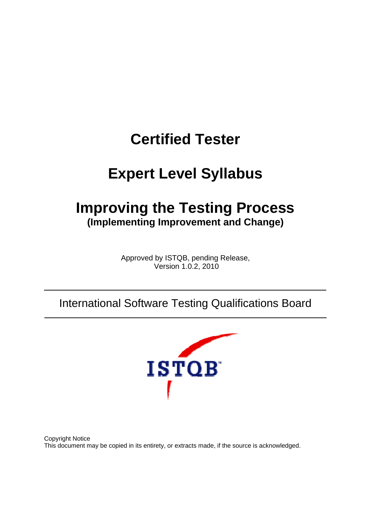# **Certified Tester**

# **Expert Level Syllabus**

# **Improving the Testing Process (Implementing Improvement and Change)**

Approved by ISTQB, pending Release, Version 1.0.2, 2010

# International Software Testing Qualifications Board



Copyright Notice This document may be copied in its entirety, or extracts made, if the source is acknowledged.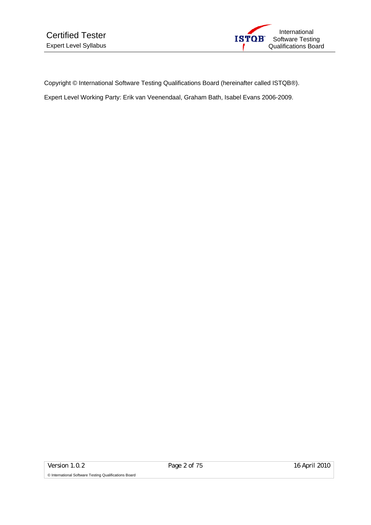

Copyright © International Software Testing Qualifications Board (hereinafter called ISTQB®).

Expert Level Working Party: Erik van Veenendaal, Graham Bath, Isabel Evans 2006-2009.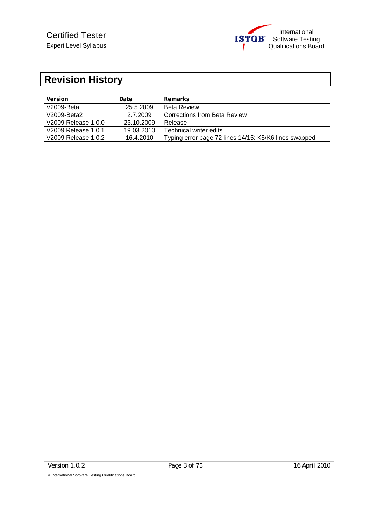

# **Revision History**

| <b>Version</b>      | Date.      | Remarks                                               |
|---------------------|------------|-------------------------------------------------------|
| V2009-Beta          | 25.5.2009  | l Beta Review                                         |
| V2009-Beta2         | 2.7.2009   | Corrections from Beta Review                          |
| V2009 Release 1.0.0 | 23.10.2009 | Release                                               |
| V2009 Release 1.0.1 | 19.03.2010 | l Technical writer edits                              |
| V2009 Release 1.0.2 | 16.4.2010  | Typing error page 72 lines 14/15: K5/K6 lines swapped |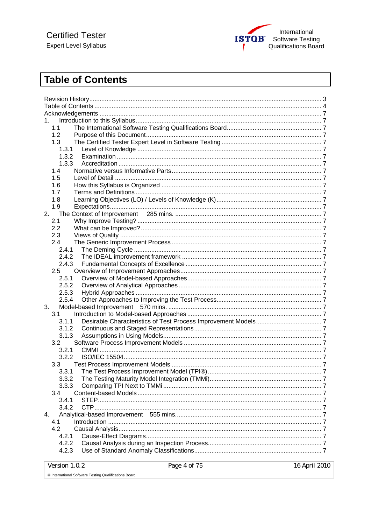

# **Table of Contents**

| 1.             |  |  |
|----------------|--|--|
| 1.1            |  |  |
| 1.2            |  |  |
| 1.3            |  |  |
| 1.3.1          |  |  |
| 1.3.2          |  |  |
| 1.3.3          |  |  |
| 1.4            |  |  |
| 1.5            |  |  |
| 1.6            |  |  |
| 1.7            |  |  |
| 1.8            |  |  |
| 1.9            |  |  |
| 2.             |  |  |
| 2.1            |  |  |
| 2.2            |  |  |
| 2.3            |  |  |
| 2.4            |  |  |
| 2.4.1          |  |  |
| 2.4.2          |  |  |
| 2.4.3          |  |  |
| 2.5            |  |  |
| 2.5.1<br>2.5.2 |  |  |
| 2.5.3          |  |  |
| 2.5.4          |  |  |
| 3.             |  |  |
| 3.1            |  |  |
| 3.1.1          |  |  |
| 3.1.2          |  |  |
| 3.1.3          |  |  |
| 3.2            |  |  |
| 3.2.1          |  |  |
| 3.2.2          |  |  |
| 3.3            |  |  |
| 3.3.1          |  |  |
| 3.3.2          |  |  |
| 3.3.3          |  |  |
| 3.4            |  |  |
| 3.4.1          |  |  |
| 3.4.2          |  |  |
| 4.             |  |  |
| 4.1            |  |  |
| 4.2            |  |  |
| 4.2.1          |  |  |
| 4.2.2          |  |  |
| 4.2.3          |  |  |
|                |  |  |

16 April 2010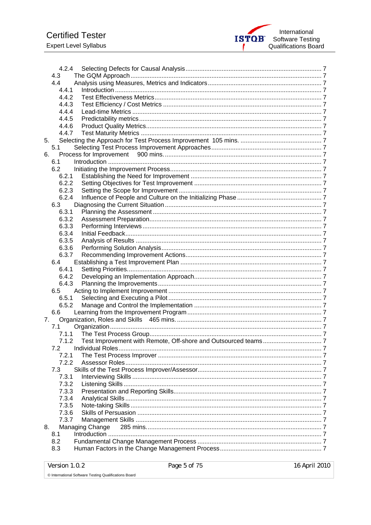

| 4.2.4 |                 |  |
|-------|-----------------|--|
| 4.3   |                 |  |
| 4.4   |                 |  |
| 4.4.1 |                 |  |
| 4.4.2 |                 |  |
| 4.4.3 |                 |  |
| 4.4.4 |                 |  |
| 4.4.5 |                 |  |
| 4.4.6 |                 |  |
| 4.4.7 |                 |  |
| 5.    |                 |  |
| 5.1   |                 |  |
| 6.    |                 |  |
| 6.1   |                 |  |
| 6.2   |                 |  |
| 6.2.1 |                 |  |
| 6.2.2 |                 |  |
| 6.2.3 |                 |  |
| 6.2.4 |                 |  |
|       |                 |  |
| 6.3   |                 |  |
| 6.3.1 |                 |  |
| 6.3.2 |                 |  |
| 6.3.3 |                 |  |
| 6.3.4 |                 |  |
| 6.3.5 |                 |  |
| 6.3.6 |                 |  |
| 6.3.7 |                 |  |
| 6.4   |                 |  |
| 6.4.1 |                 |  |
| 6.4.2 |                 |  |
| 6.4.3 |                 |  |
| 6.5   |                 |  |
| 6.5.1 |                 |  |
| 6.5.2 |                 |  |
| 6.6   |                 |  |
| 7.    |                 |  |
| 7.1   |                 |  |
| 7.1.1 |                 |  |
| 7.1.2 |                 |  |
| 7.2   |                 |  |
| 7.2.1 |                 |  |
| 7.2.2 |                 |  |
| 7.3   |                 |  |
| 7.3.1 |                 |  |
| 7.3.2 |                 |  |
|       |                 |  |
| 7.3.3 |                 |  |
| 7.3.4 |                 |  |
| 7.3.5 |                 |  |
| 7.3.6 |                 |  |
| 7.3.7 |                 |  |
| 8.    | Managing Change |  |
| 8.1   |                 |  |
| 8.2   |                 |  |
| 8.3   |                 |  |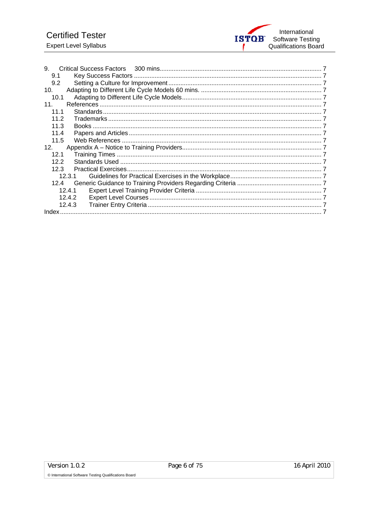

| 9.     |  |
|--------|--|
| 9.1    |  |
|        |  |
| 9.2    |  |
| 10.    |  |
| 10.1   |  |
| 11.    |  |
| 11.1   |  |
| 11.2   |  |
| 11.3   |  |
| 11.4   |  |
| 11.5   |  |
| 12.    |  |
| 12.1   |  |
| 12.2   |  |
| 12.3   |  |
| 12.3.1 |  |
| 12.4   |  |
| 12.4.1 |  |
| 12.4.2 |  |
| 12.4.3 |  |
|        |  |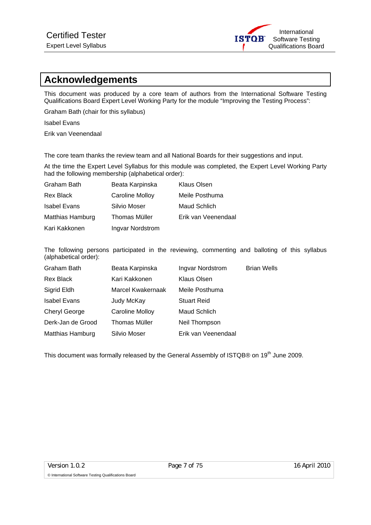

# **Acknowledgements**

This document was produced by a core team of authors from the International Software Testing Qualifications Board Expert Level Working Party for the module "Improving the Testing Process":

Graham Bath (chair for this syllabus)

Isabel Evans

Erik van Veenendaal

The core team thanks the review team and all National Boards for their suggestions and input.

At the time the Expert Level Syllabus for this module was completed, the Expert Level Working Party had the following membership (alphabetical order):

| Graham Bath         | Beata Karpinska        | Klaus Olsen         |
|---------------------|------------------------|---------------------|
| <b>Rex Black</b>    | <b>Caroline Molloy</b> | Meile Posthuma      |
| <b>Isabel Evans</b> | Silvio Moser           | Maud Schlich        |
| Matthias Hamburg    | Thomas Müller          | Erik van Veenendaal |
| Kari Kakkonen       | Ingvar Nordstrom       |                     |

The following persons participated in the reviewing, commenting and balloting of this syllabus (alphabetical order):

| <b>Graham Bath</b>      | Beata Karpinska        | Ingvar Nordstrom    | <b>Brian Wells</b> |
|-------------------------|------------------------|---------------------|--------------------|
| Rex Black               | Kari Kakkonen          | Klaus Olsen         |                    |
| Sigrid Eldh             | Marcel Kwakernaak      | Meile Posthuma      |                    |
| <b>Isabel Evans</b>     | Judy McKay             | <b>Stuart Reid</b>  |                    |
| <b>Cheryl George</b>    | <b>Caroline Molloy</b> | Maud Schlich        |                    |
| Derk-Jan de Grood       | <b>Thomas Müller</b>   | Neil Thompson       |                    |
| <b>Matthias Hamburg</b> | Silvio Moser           | Erik van Veenendaal |                    |

This document was formally released by the General Assembly of ISTQB® on 19<sup>th</sup> June 2009.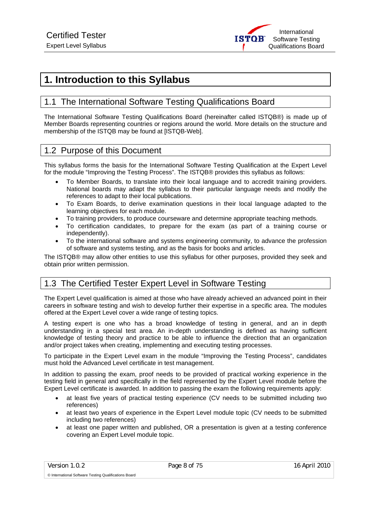# **1. Introduction to this Syllabus**

# 1.1 The International Software Testing Qualifications Board

The International Software Testing Qualifications Board (hereinafter called ISTQB®) is made up of Member Boards representing countries or regions around the world. More details on the structure and membership of the ISTQB may be found at [ISTQB-Web].

# 1.2 Purpose of this Document

This syllabus forms the basis for the International Software Testing Qualification at the Expert Level for the module "Improving the Testing Process". The ISTQB® provides this syllabus as follows:

- To Member Boards, to translate into their local language and to accredit training providers. National boards may adapt the syllabus to their particular language needs and modify the references to adapt to their local publications.
- To Exam Boards, to derive examination questions in their local language adapted to the learning objectives for each module.
- To training providers, to produce courseware and determine appropriate teaching methods.
- To certification candidates, to prepare for the exam (as part of a training course or independently).
- To the international software and systems engineering community, to advance the profession of software and systems testing, and as the basis for books and articles.

The ISTQB® may allow other entities to use this syllabus for other purposes, provided they seek and obtain prior written permission.

# 1.3 The Certified Tester Expert Level in Software Testing

The Expert Level qualification is aimed at those who have already achieved an advanced point in their careers in software testing and wish to develop further their expertise in a specific area. The modules offered at the Expert Level cover a wide range of testing topics.

A testing expert is one who has a broad knowledge of testing in general, and an in depth understanding in a special test area. An in-depth understanding is defined as having sufficient knowledge of testing theory and practice to be able to influence the direction that an organization and/or project takes when creating, implementing and executing testing processes.

To participate in the Expert Level exam in the module "Improving the Testing Process", candidates must hold the Advanced Level certificate in test management.

In addition to passing the exam, proof needs to be provided of practical working experience in the testing field in general and specifically in the field represented by the Expert Level module before the Expert Level certificate is awarded. In addition to passing the exam the following requirements apply:

- at least five years of practical testing experience (CV needs to be submitted including two references)
- at least two years of experience in the Expert Level module topic (CV needs to be submitted including two references)
- at least one paper written and published, OR a presentation is given at a testing conference covering an Expert Level module topic.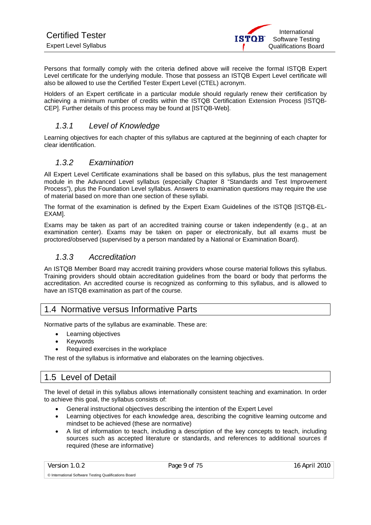Persons that formally comply with the criteria defined above will receive the formal ISTQB Expert Level certificate for the underlying module. Those that possess an ISTQB Expert Level certificate will also be allowed to use the Certified Tester Expert Level (CTEL) acronym.

Holders of an Expert certificate in a particular module should regularly renew their certification by achieving a minimum number of credits within the ISTQB Certification Extension Process [ISTQB-CEP]. Further details of this process may be found at [ISTQB-Web].

# *1.3.1 Level of Knowledge*

Learning objectives for each chapter of this syllabus are captured at the beginning of each chapter for clear identification.

# *1.3.2 Examination*

All Expert Level Certificate examinations shall be based on this syllabus, plus the test management module in the Advanced Level syllabus (especially Chapter 8 "Standards and Test Improvement Process"), plus the Foundation Level syllabus. Answers to examination questions may require the use of material based on more than one section of these syllabi.

The format of the examination is defined by the Expert Exam Guidelines of the ISTQB [ISTQB-EL-EXAM].

Exams may be taken as part of an accredited training course or taken independently (e.g., at an examination center). Exams may be taken on paper or electronically, but all exams must be proctored/observed (supervised by a person mandated by a National or Examination Board).

# *1.3.3 Accreditation*

An ISTQB Member Board may accredit training providers whose course material follows this syllabus. Training providers should obtain accreditation guidelines from the board or body that performs the accreditation. An accredited course is recognized as conforming to this syllabus, and is allowed to have an ISTQB examination as part of the course.

# 1.4 Normative versus Informative Parts

Normative parts of the syllabus are examinable. These are:

- Learning objectives
- **Keywords**
- Required exercises in the workplace

The rest of the syllabus is informative and elaborates on the learning objectives.

# 1.5 Level of Detail

The level of detail in this syllabus allows internationally consistent teaching and examination. In order to achieve this goal, the syllabus consists of:

- General instructional objectives describing the intention of the Expert Level
- Learning objectives for each knowledge area, describing the cognitive learning outcome and mindset to be achieved (these are normative)
- A list of information to teach, including a description of the key concepts to teach, including sources such as accepted literature or standards, and references to additional sources if required (these are informative)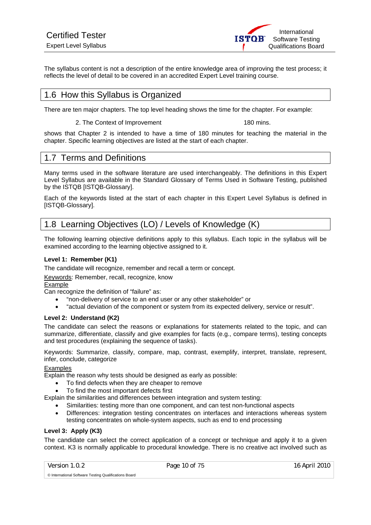The syllabus content is not a description of the entire knowledge area of improving the test process; it reflects the level of detail to be covered in an accredited Expert Level training course.

# 1.6 How this Syllabus is Organized

There are ten major chapters. The top level heading shows the time for the chapter. For example:

#### 2. The Context of Improvement 180 mins.

shows that Chapter 2 is intended to have a time of 180 minutes for teaching the material in the chapter. Specific learning objectives are listed at the start of each chapter.

# 1.7 Terms and Definitions

Many terms used in the software literature are used interchangeably. The definitions in this Expert Level Syllabus are available in the Standard Glossary of Terms Used in Software Testing, published by the ISTQB [ISTQB-Glossary].

Each of the keywords listed at the start of each chapter in this Expert Level Syllabus is defined in [ISTQB-Glossary].

# 1.8 Learning Objectives (LO) / Levels of Knowledge (K)

The following learning objective definitions apply to this syllabus. Each topic in the syllabus will be examined according to the learning objective assigned to it.

#### **Level 1: Remember (K1)**

The candidate will recognize, remember and recall a term or concept.

Keywords: Remember, recall, recognize, know

#### Example

Can recognize the definition of "failure" as:

- "non-delivery of service to an end user or any other stakeholder" or
- "actual deviation of the component or system from its expected delivery, service or result".

#### **Level 2: Understand (K2)**

The candidate can select the reasons or explanations for statements related to the topic, and can summarize, differentiate, classify and give examples for facts (e.g., compare terms), testing concepts and test procedures (explaining the sequence of tasks).

Keywords: Summarize, classify, compare, map, contrast, exemplify, interpret, translate, represent, infer, conclude, categorize

#### Examples

Explain the reason why tests should be designed as early as possible:

- To find defects when they are cheaper to remove
- To find the most important defects first

Explain the similarities and differences between integration and system testing:

- Similarities: testing more than one component, and can test non-functional aspects
- Differences: integration testing concentrates on interfaces and interactions whereas system testing concentrates on whole-system aspects, such as end to end processing

#### **Level 3: Apply (K3)**

The candidate can select the correct application of a concept or technique and apply it to a given context. K3 is normally applicable to procedural knowledge. There is no creative act involved such as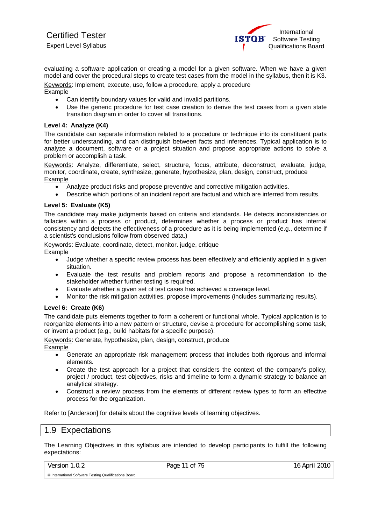evaluating a software application or creating a model for a given software. When we have a given model and cover the procedural steps to create test cases from the model in the syllabus, then it is K3. Keywords: Implement, execute, use, follow a procedure, apply a procedure

#### Example

- Can identify boundary values for valid and invalid partitions.
- Use the generic procedure for test case creation to derive the test cases from a given state transition diagram in order to cover all transitions.

#### **Level 4: Analyze (K4)**

The candidate can separate information related to a procedure or technique into its constituent parts for better understanding, and can distinguish between facts and inferences. Typical application is to analyze a document, software or a project situation and propose appropriate actions to solve a problem or accomplish a task.

Keywords: Analyze, differentiate, select, structure, focus, attribute, deconstruct, evaluate, judge, monitor, coordinate, create, synthesize, generate, hypothesize, plan, design, construct, produce Example

- Analyze product risks and propose preventive and corrective mitigation activities.
- Describe which portions of an incident report are factual and which are inferred from results.

#### **Level 5: Evaluate (K5)**

The candidate may make judgments based on criteria and standards. He detects inconsistencies or fallacies within a process or product, determines whether a process or product has internal consistency and detects the effectiveness of a procedure as it is being implemented (e.g., determine if a scientist's conclusions follow from observed data.)

Keywords: Evaluate, coordinate, detect, monitor. judge, critique Example

- Judge whether a specific review process has been effectively and efficiently applied in a given situation.
- Evaluate the test results and problem reports and propose a recommendation to the stakeholder whether further testing is required.
- Evaluate whether a given set of test cases has achieved a coverage level.
- Monitor the risk mitigation activities, propose improvements (includes summarizing results).

#### **Level 6: Create (K6)**

The candidate puts elements together to form a coherent or functional whole. Typical application is to reorganize elements into a new pattern or structure, devise a procedure for accomplishing some task, or invent a product (e.g., build habitats for a specific purpose).

Keywords: Generate, hypothesize, plan, design, construct, produce Example

- Generate an appropriate risk management process that includes both rigorous and informal elements.
- Create the test approach for a project that considers the context of the company's policy, project / product, test objectives, risks and timeline to form a dynamic strategy to balance an analytical strategy.
- Construct a review process from the elements of different review types to form an effective process for the organization.

Refer to [Anderson] for details about the cognitive levels of learning objectives.

## 1.9 Expectations

The Learning Objectives in this syllabus are intended to develop participants to fulfill the following expectations:

Version 1.0.2 Page 11 of 75 16 April 2010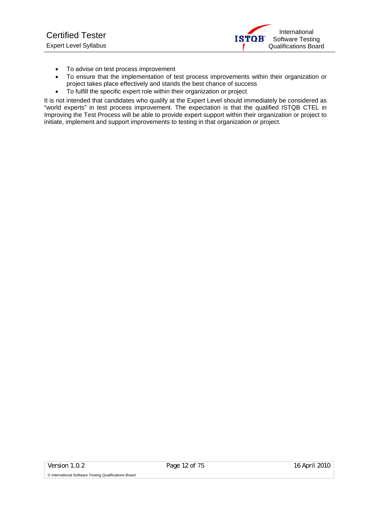

- To advise on test process improvement
- To ensure that the implementation of test process improvements within their organization or project takes place effectively and stands the best chance of success
- To fulfill the specific expert role within their organization or project

It is not intended that candidates who qualify at the Expert Level should immediately be considered as "world experts" in test process improvement. The expectation is that the qualified ISTQB CTEL in Improving the Test Process will be able to provide expert support within their organization or project to initiate, implement and support improvements to testing in that organization or project.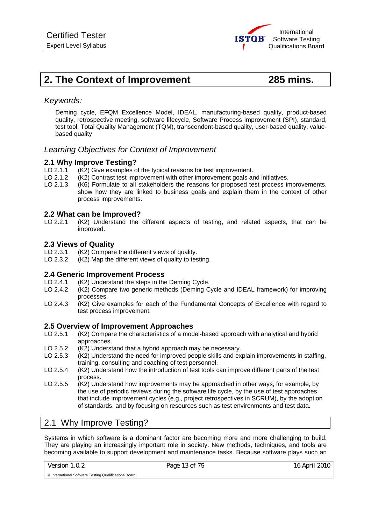# **2. The Context of Improvement 285 mins.**

## *Keywords:*

Deming cycle, EFQM Excellence Model, IDEAL, manufacturing-based quality, product-based quality, retrospective meeting, software lifecycle, Software Process Improvement (SPI), standard, test tool, Total Quality Management (TQM), transcendent-based quality, user-based quality, valuebased quality

## *Learning Objectives for Context of Improvement*

#### **2.1 Why Improve Testing?**

- LO 2.1.1 (K2) Give examples of the typical reasons for test improvement.
- LO 2.1.2 (K2) Contrast test improvement with other improvement goals and initiatives.
- LO 2.1.3 (K6) Formulate to all stakeholders the reasons for proposed test process improvements, show how they are linked to business goals and explain them in the context of other process improvements.

#### **2.2 What can be Improved?**

LO 2.2.1 (K2) Understand the different aspects of testing, and related aspects, that can be improved.

#### **2.3 Views of Quality**

- LO 2.3.1 (K2) Compare the different views of quality.
- LO 2.3.2 (K2) Map the different views of quality to testing.

#### **2.4 Generic Improvement Process**

- LO 2.4.1 (K2) Understand the steps in the Deming Cycle.<br>LO 2.4.2 (K2) Compare two generic methods (Deming C
- (K2) Compare two generic methods (Deming Cycle and IDEAL framework) for improving processes.
- LO 2.4.3 (K2) Give examples for each of the Fundamental Concepts of Excellence with regard to test process improvement.

#### **2.5 Overview of Improvement Approaches**

- LO 2.5.1 (K2) Compare the characteristics of a model-based approach with analytical and hybrid approaches.
- LO 2.5.2 (K2) Understand that a hybrid approach may be necessary.
- LO 2.5.3 (K2) Understand the need for improved people skills and explain improvements in staffing, training, consulting and coaching of test personnel.
- LO 2.5.4 (K2) Understand how the introduction of test tools can improve different parts of the test process.
- LO 2.5.5 (K2) Understand how improvements may be approached in other ways, for example, by the use of periodic reviews during the software life cycle, by the use of test approaches that include improvement cycles (e.g., project retrospectives in SCRUM), by the adoption of standards, and by focusing on resources such as test environments and test data.

# 2.1 Why Improve Testing?

Systems in which software is a dominant factor are becoming more and more challenging to build. They are playing an increasingly important role in society. New methods, techniques, and tools are becoming available to support development and maintenance tasks. Because software plays such an

Version 1.0.2 Page 13 of 75 16 April 2010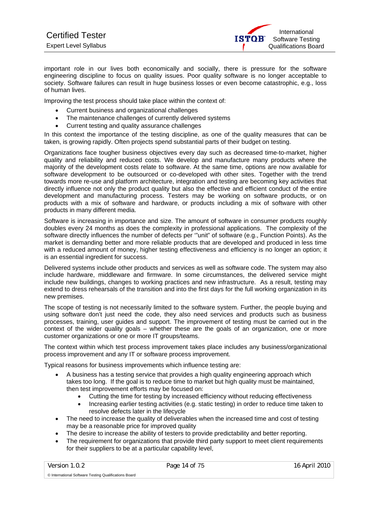important role in our lives both economically and socially, there is pressure for the software engineering discipline to focus on quality issues. Poor quality software is no longer acceptable to society. Software failures can result in huge business losses or even become catastrophic, e.g., loss of human lives.

Improving the test process should take place within the context of:

- Current business and organizational challenges
- The maintenance challenges of currently delivered systems
- Current testing and quality assurance challenges

In this context the importance of the testing discipline, as one of the quality measures that can be taken, is growing rapidly. Often projects spend substantial parts of their budget on testing.

Organizations face tougher business objectives every day such as decreased time-to-market, higher quality and reliability and reduced costs. We develop and manufacture many products where the majority of the development costs relate to software. At the same time, options are now available for software development to be outsourced or co-developed with other sites. Together with the trend towards more re-use and platform architecture, integration and testing are becoming key activities that directly influence not only the product quality but also the effective and efficient conduct of the entire development and manufacturing process. Testers may be working on software products, or on products with a mix of software and hardware, or products including a mix of software with other products in many different media.

Software is increasing in importance and size. The amount of software in consumer products roughly doubles every 24 months as does the complexity in professional applications. The complexity of the software directly influences the number of defects per "unit" of software (e.g., Function Points). As the market is demanding better and more reliable products that are developed and produced in less time with a reduced amount of money, higher testing effectiveness and efficiency is no longer an option; it is an essential ingredient for success.

Delivered systems include other products and services as well as software code. The system may also include hardware, middleware and firmware. In some circumstances, the delivered service might include new buildings, changes to working practices and new infrastructure. As a result, testing may extend to dress rehearsals of the transition and into the first days for the full working organization in its new premises.

The scope of testing is not necessarily limited to the software system. Further, the people buying and using software don't just need the code, they also need services and products such as business processes, training, user guides and support. The improvement of testing must be carried out in the context of the wider quality goals – whether these are the goals of an organization, one or more customer organizations or one or more IT groups/teams.

The context within which test process improvement takes place includes any business/organizational process improvement and any IT or software process improvement.

Typical reasons for business improvements which influence testing are:

- A business has a testing service that provides a high quality engineering approach which takes too long. If the goal is to reduce time to market but high quality must be maintained, then test improvement efforts may be focused on:
	- Cutting the time for testing by increased efficiency without reducing effectiveness
	- Increasing earlier testing activities (e.g. static testing) in order to reduce time taken to resolve defects later in the lifecycle
- The need to increase the quality of deliverables when the increased time and cost of testing may be a reasonable price for improved quality
- The desire to increase the ability of testers to provide predictability and better reporting.
- The requirement for organizations that provide third party support to meet client requirements for their suppliers to be at a particular capability level,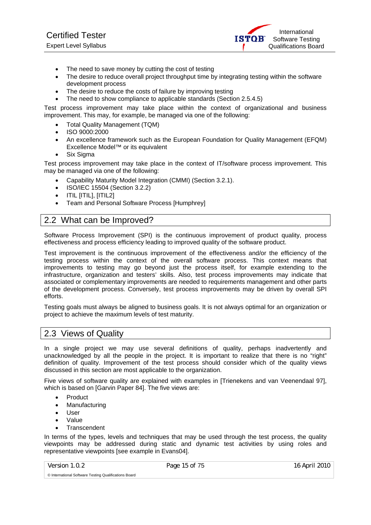International **ISTOR** Software Testing Qualifications Board

- The need to save money by cutting the cost of testing
- The desire to reduce overall project throughput time by integrating testing within the software development process
- The desire to reduce the costs of failure by improving testing
- The need to show compliance to applicable standards (Section 2.5.4.5)

Test process improvement may take place within the context of organizational and business improvement. This may, for example, be managed via one of the following:

- Total Quality Management (TQM)
- ISO 9000:2000
- An excellence framework such as the European Foundation for Quality Management (EFQM) Excellence Model™ or its equivalent
- Six Sigma

Test process improvement may take place in the context of IT/software process improvement. This may be managed via one of the following:

- Capability Maturity Model Integration (CMMI) (Section 3.2.1).
- ISO/IEC 15504 (Section 3.2.2)
- ITIL [ITIL], [ITIL2]
- Team and Personal Software Process [Humphrey]

# 2.2 What can be Improved?

Software Process Improvement (SPI) is the continuous improvement of product quality, process effectiveness and process efficiency leading to improved quality of the software product.

Test improvement is the continuous improvement of the effectiveness and/or the efficiency of the testing process within the context of the overall software process. This context means that improvements to testing may go beyond just the process itself, for example extending to the infrastructure, organization and testers' skills. Also, test process improvements may indicate that associated or complementary improvements are needed to requirements management and other parts of the development process. Conversely, test process improvements may be driven by overall SPI efforts.

Testing goals must always be aligned to business goals. It is not always optimal for an organization or project to achieve the maximum levels of test maturity.

## 2.3 Views of Quality

In a single project we may use several definitions of quality, perhaps inadvertently and unacknowledged by all the people in the project. It is important to realize that there is no "right" definition of quality. Improvement of the test process should consider which of the quality views discussed in this section are most applicable to the organization.

Five views of software quality are explained with examples in [Trienekens and van Veenendaal 97], which is based on [Garvin Paper 84]. The five views are:

- Product
- Manufacturing
- User
- Value
- **Transcendent**

In terms of the types, levels and techniques that may be used through the test process, the quality viewpoints may be addressed during static and dynamic test activities by using roles and representative viewpoints [see example in Evans04].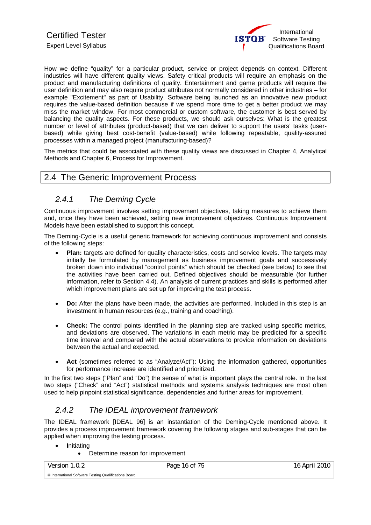How we define "quality" for a particular product, service or project depends on context. Different industries will have different quality views. Safety critical products will require an emphasis on the product and manufacturing definitions of quality. Entertainment and game products will require the user definition and may also require product attributes not normally considered in other industries – for example "Excitement" as part of Usability. Software being launched as an innovative new product requires the value-based definition because if we spend more time to get a better product we may miss the market window. For most commercial or custom software, the customer is best served by balancing the quality aspects. For these products, we should ask ourselves: What is the greatest number or level of attributes (product-based) that we can deliver to support the users' tasks (userbased) while giving best cost-benefit (value-based) while following repeatable, quality-assured processes within a managed project (manufacturing-based)?

The metrics that could be associated with these quality views are discussed in Chapter 4, Analytical Methods and Chapter 6, Process for Improvement.

# 2.4 The Generic Improvement Process

# *2.4.1 The Deming Cycle*

Continuous improvement involves setting improvement objectives, taking measures to achieve them and, once they have been achieved, setting new improvement objectives. Continuous Improvement Models have been established to support this concept.

The Deming-Cycle is a useful generic framework for achieving continuous improvement and consists of the following steps:

- **Plan:** targets are defined for quality characteristics, costs and service levels. The targets may initially be formulated by management as business improvement goals and successively broken down into individual "control points" which should be checked (see below) to see that the activities have been carried out. Defined objectives should be measurable (for further information, refer to Section 4.4). An analysis of current practices and skills is performed after which improvement plans are set up for improving the test process.
- **Do:** After the plans have been made, the activities are performed. Included in this step is an investment in human resources (e.g., training and coaching).
- **Check:** The control points identified in the planning step are tracked using specific metrics, and deviations are observed. The variations in each metric may be predicted for a specific time interval and compared with the actual observations to provide information on deviations between the actual and expected.
- Act (sometimes referred to as "Analyze/Act"): Using the information gathered, opportunities for performance increase are identified and prioritized.

In the first two steps ("Plan" and "Do") the sense of what is important plays the central role. In the last two steps ("Check" and "Act") statistical methods and systems analysis techniques are most often used to help pinpoint statistical significance, dependencies and further areas for improvement.

# *2.4.2 The IDEAL improvement framework*

The IDEAL framework [IDEAL 96] is an instantiation of the Deming-Cycle mentioned above. It provides a process improvement framework covering the following stages and sub-stages that can be applied when improving the testing process.

• **I**nitiating

• Determine reason for improvement

Version 1.0.2 **Page 16 of 75** 16 April 2010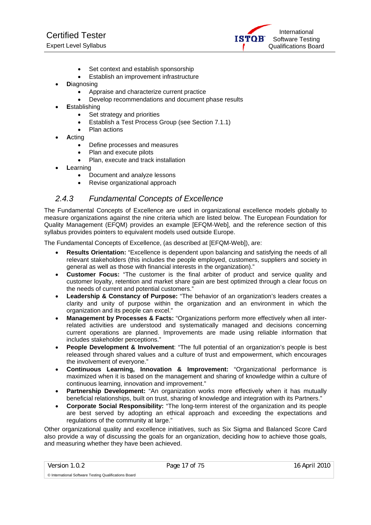Certified Tester Expert Level Syllabus

International **ISTOR** Software Testing Qualifications Board

- Set context and establish sponsorship
- Establish an improvement infrastructure
- **D**iagnosing
	- Appraise and characterize current practice
	- Develop recommendations and document phase results
- **E**stablishing
	- Set strategy and priorities
	- Establish a Test Process Group (see Section 7.1.1)
	- Plan actions
- **A**cting
	- Define processes and measures
	- Plan and execute pilots
	- Plan, execute and track installation
- **L**earning
	- Document and analyze lessons
	- Revise organizational approach

## *2.4.3 Fundamental Concepts of Excellence*

The Fundamental Concepts of Excellence are used in organizational excellence models globally to measure organizations against the nine criteria which are listed below. The European Foundation for Quality Management (EFQM) provides an example [EFQM-Web], and the reference section of this syllabus provides pointers to equivalent models used outside Europe.

The Fundamental Concepts of Excellence, (as described at [EFQM-Web]), are:

- **Results Orientation:** "Excellence is dependent upon balancing and satisfying the needs of all relevant stakeholders (this includes the people employed, customers, suppliers and society in general as well as those with financial interests in the organization)."
- **Customer Focus:** "The customer is the final arbiter of product and service quality and customer loyalty, retention and market share gain are best optimized through a clear focus on the needs of current and potential customers."
- **Leadership & Constancy of Purpose:** "The behavior of an organization's leaders creates a clarity and unity of purpose within the organization and an environment in which the organization and its people can excel."
- **Management by Processes & Facts:** "Organizations perform more effectively when all interrelated activities are understood and systematically managed and decisions concerning current operations are planned. Improvements are made using reliable information that includes stakeholder perceptions."
- **People Development & Involvement**: "The full potential of an organization's people is best released through shared values and a culture of trust and empowerment, which encourages the involvement of everyone."
- **Continuous Learning, Innovation & Improvement:** "Organizational performance is maximized when it is based on the management and sharing of knowledge within a culture of continuous learning, innovation and improvement."
- **Partnership Development:** "An organization works more effectively when it has mutually beneficial relationships, built on trust, sharing of knowledge and integration with its Partners."
- **Corporate Social Responsibility:** "The long-term interest of the organization and its people are best served by adopting an ethical approach and exceeding the expectations and regulations of the community at large."

Other organizational quality and excellence initiatives, such as Six Sigma and Balanced Score Card also provide a way of discussing the goals for an organization, deciding how to achieve those goals, and measuring whether they have been achieved.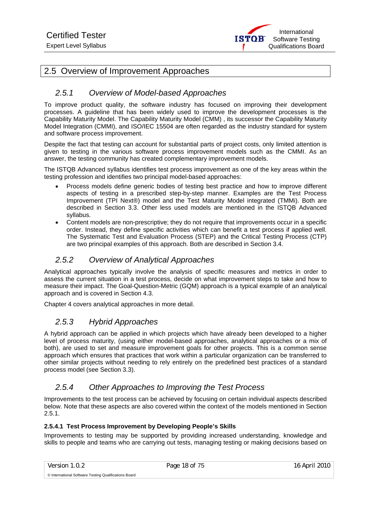

# 2.5 Overview of Improvement Approaches

# *2.5.1 Overview of Model-based Approaches*

To improve product quality, the software industry has focused on improving their development processes. A guideline that has been widely used to improve the development processes is the Capability Maturity Model. The Capability Maturity Model (CMM) , its successor the Capability Maturity Model Integration (CMMI), and ISO/IEC 15504 are often regarded as the industry standard for system and software process improvement.

Despite the fact that testing can account for substantial parts of project costs, only limited attention is given to testing in the various software process improvement models such as the CMMI. As an answer, the testing community has created complementary improvement models.

The ISTQB Advanced syllabus identifies test process improvement as one of the key areas within the testing profession and identifies two principal model-based approaches:

- Process models define generic bodies of testing best practice and how to improve different aspects of testing in a prescribed step-by-step manner. Examples are the Test Process Improvement (TPI Next®) model and the Test Maturity Model integrated (TMMi). Both are described in Section 3.3. Other less used models are mentioned in the ISTQB Advanced syllabus.
- Content models are non-prescriptive; they do not require that improvements occur in a specific order. Instead, they define specific activities which can benefit a test process if applied well. The Systematic Test and Evaluation Process (STEP) and the Critical Testing Process (CTP) are two principal examples of this approach. Both are described in Section 3.4.

# *2.5.2 Overview of Analytical Approaches*

Analytical approaches typically involve the analysis of specific measures and metrics in order to assess the current situation in a test process, decide on what improvement steps to take and how to measure their impact. The Goal-Question-Metric (GQM) approach is a typical example of an analytical approach and is covered in Section 4.3.

Chapter 4 covers analytical approaches in more detail.

# *2.5.3 Hybrid Approaches*

A hybrid approach can be applied in which projects which have already been developed to a higher level of process maturity, (using either model-based approaches, analytical approaches or a mix of both), are used to set and measure improvement goals for other projects. This is a common sense approach which ensures that practices that work within a particular organization can be transferred to other similar projects without needing to rely entirely on the predefined best practices of a standard process model (see Section 3.3).

# *2.5.4 Other Approaches to Improving the Test Process*

Improvements to the test process can be achieved by focusing on certain individual aspects described below. Note that these aspects are also covered within the context of the models mentioned in Section 2.5.1.

#### **2.5.4.1 Test Process Improvement by Developing People's Skills**

Improvements to testing may be supported by providing increased understanding, knowledge and skills to people and teams who are carrying out tests, managing testing or making decisions based on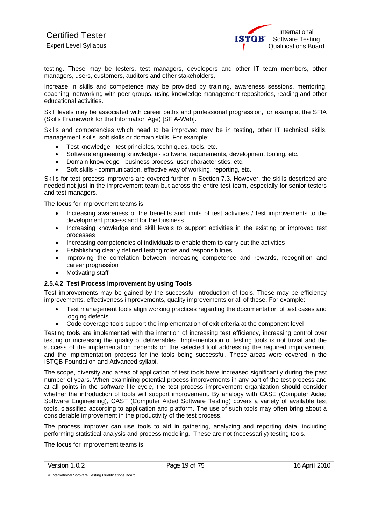testing. These may be testers, test managers, developers and other IT team members, other managers, users, customers, auditors and other stakeholders.

Increase in skills and competence may be provided by training, awareness sessions, mentoring, coaching, networking with peer groups, using knowledge management repositories, reading and other educational activities.

Skill levels may be associated with career paths and professional progression, for example, the SFIA (Skills Framework for the Information Age) [SFIA-Web].

Skills and competencies which need to be improved may be in testing, other IT technical skills, management skills, soft skills or domain skills. For example:

- Test knowledge test principles, techniques, tools, etc.
- Software engineering knowledge software, requirements, development tooling, etc.
- Domain knowledge business process, user characteristics, etc.
- Soft skills communication, effective way of working, reporting, etc.

Skills for test process improvers are covered further in Section 7.3. However, the skills described are needed not just in the improvement team but across the entire test team, especially for senior testers and test managers.

The focus for improvement teams is:

- Increasing awareness of the benefits and limits of test activities / test improvements to the development process and for the business
- Increasing knowledge and skill levels to support activities in the existing or improved test processes
- Increasing competencies of individuals to enable them to carry out the activities
- Establishing clearly defined testing roles and responsibilities
- improving the correlation between increasing competence and rewards, recognition and career progression
- Motivating staff

#### **2.5.4.2 Test Process Improvement by using Tools**

Test improvements may be gained by the successful introduction of tools. These may be efficiency improvements, effectiveness improvements, quality improvements or all of these. For example:

- Test management tools align working practices regarding the documentation of test cases and logging defects
- Code coverage tools support the implementation of exit criteria at the component level

Testing tools are implemented with the intention of increasing test efficiency, increasing control over testing or increasing the quality of deliverables. Implementation of testing tools is not trivial and the success of the implementation depends on the selected tool addressing the required improvement, and the implementation process for the tools being successful. These areas were covered in the ISTQB Foundation and Advanced syllabi.

The scope, diversity and areas of application of test tools have increased significantly during the past number of years. When examining potential process improvements in any part of the test process and at all points in the software life cycle, the test process improvement organization should consider whether the introduction of tools will support improvement. By analogy with CASE (Computer Aided Software Engineering), CAST (Computer Aided Software Testing) covers a variety of available test tools, classified according to application and platform. The use of such tools may often bring about a considerable improvement in the productivity of the test process.

The process improver can use tools to aid in gathering, analyzing and reporting data, including performing statistical analysis and process modeling. These are not (necessarily) testing tools.

The focus for improvement teams is: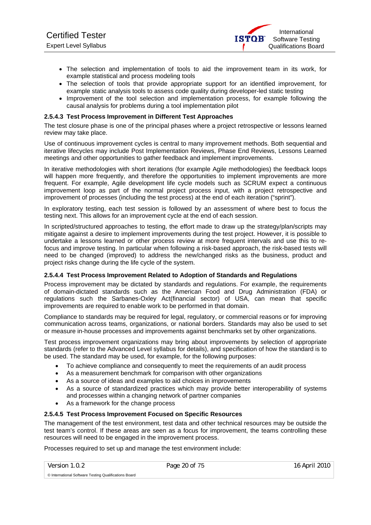- The selection and implementation of tools to aid the improvement team in its work, for example statistical and process modeling tools
- The selection of tools that provide appropriate support for an identified improvement, for example static analysis tools to assess code quality during developer-led static testing
- Improvement of the tool selection and implementation process, for example following the causal analysis for problems during a tool implementation pilot

#### **2.5.4.3 Test Process Improvement in Different Test Approaches**

The test closure phase is one of the principal phases where a project retrospective or lessons learned review may take place.

Use of continuous improvement cycles is central to many improvement methods. Both sequential and iterative lifecycles may include Post Implementation Reviews, Phase End Reviews, Lessons Learned meetings and other opportunities to gather feedback and implement improvements.

In iterative methodologies with short iterations (for example Agile methodologies) the feedback loops will happen more frequently, and therefore the opportunities to implement improvements are more frequent. For example, Agile development life cycle models such as SCRUM expect a continuous improvement loop as part of the normal project process input, with a project retrospective and improvement of processes (including the test process) at the end of each iteration ("sprint").

In exploratory testing, each test session is followed by an assessment of where best to focus the testing next. This allows for an improvement cycle at the end of each session.

In scripted/structured approaches to testing, the effort made to draw up the strategy/plan/scripts may mitigate against a desire to implement improvements during the test project. However, it is possible to undertake a lessons learned or other process review at more frequent intervals and use this to refocus and improve testing. In particular when following a risk-based approach, the risk-based tests will need to be changed (improved) to address the new/changed risks as the business, product and project risks change during the life cycle of the system.

#### **2.5.4.4 Test Process Improvement Related to Adoption of Standards and Regulations**

Process improvement may be dictated by standards and regulations. For example, the requirements of domain-dictated standards such as the American Food and Drug Administration (FDA) or regulations such the Sarbanes-Oxley Act(financial sector) of USA, can mean that specific improvements are required to enable work to be performed in that domain.

Compliance to standards may be required for legal, regulatory, or commercial reasons or for improving communication across teams, organizations, or national borders. Standards may also be used to set or measure in-house processes and improvements against benchmarks set by other organizations.

Test process improvement organizations may bring about improvements by selection of appropriate standards (refer to the Advanced Level syllabus for details), and specification of how the standard is to be used. The standard may be used, for example, for the following purposes:

- To achieve compliance and consequently to meet the requirements of an audit process
- As a measurement benchmark for comparison with other organizations
- As a source of ideas and examples to aid choices in improvements
- As a source of standardized practices which may provide better interoperability of systems and processes within a changing network of partner companies
- As a framework for the change process

#### **2.5.4.5 Test Process Improvement Focused on Specific Resources**

The management of the test environment, test data and other technical resources may be outside the test team's control. If these areas are seen as a focus for improvement, the teams controlling these resources will need to be engaged in the improvement process.

Processes required to set up and manage the test environment include:

Version 1.0.2 **Page 20 of 75** 16 April 2010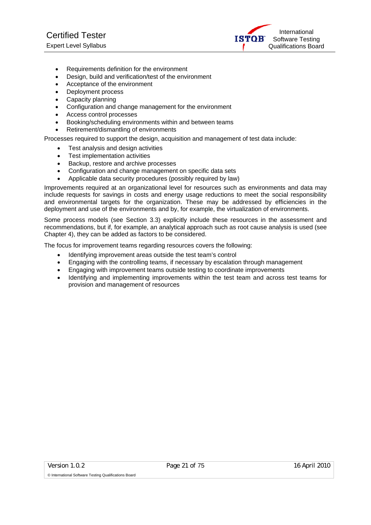International **ISTOR** Software Testing Qualifications Board

- Requirements definition for the environment
- Design, build and verification/test of the environment
- Acceptance of the environment
- Deployment process
- Capacity planning
- Configuration and change management for the environment
- Access control processes
- Booking/scheduling environments within and between teams
- Retirement/dismantling of environments

Processes required to support the design, acquisition and management of test data include:

- Test analysis and design activities
- Test implementation activities
- Backup, restore and archive processes
- Configuration and change management on specific data sets
- Applicable data security procedures (possibly required by law)

Improvements required at an organizational level for resources such as environments and data may include requests for savings in costs and energy usage reductions to meet the social responsibility and environmental targets for the organization. These may be addressed by efficiencies in the deployment and use of the environments and by, for example, the virtualization of environments.

Some process models (see Section 3.3) explicitly include these resources in the assessment and recommendations, but if, for example, an analytical approach such as root cause analysis is used (see Chapter 4), they can be added as factors to be considered.

The focus for improvement teams regarding resources covers the following:

- Identifying improvement areas outside the test team's control
- Engaging with the controlling teams, if necessary by escalation through management
- Engaging with improvement teams outside testing to coordinate improvements
- Identifying and implementing improvements within the test team and across test teams for provision and management of resources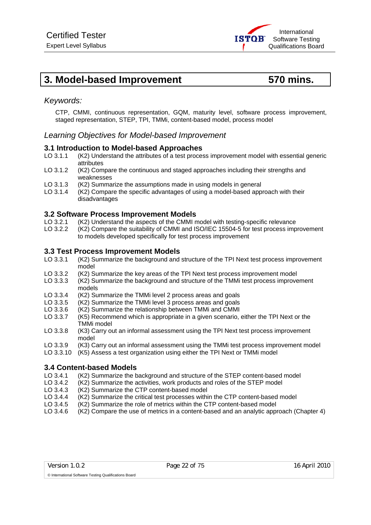# **3. Model-based Improvement 570 mins.**

## *Keywords:*

CTP, CMMI, continuous representation, GQM, maturity level, software process improvement, staged representation, STEP, TPI, TMMi, content-based model, process model

## *Learning Objectives for Model-based Improvement*

#### **3.1 Introduction to Model-based Approaches**

- LO 3.1.1 (K2) Understand the attributes of a test process improvement model with essential generic attributes
- LO 3.1.2 (K2) Compare the continuous and staged approaches including their strengths and weaknesses
- LO 3.1.3 (K2) Summarize the assumptions made in using models in general
- LO 3.1.4 (K2) Compare the specific advantages of using a model-based approach with their disadvantages

#### **3.2 Software Process Improvement Models**

- LO 3.2.1 (K2) Understand the aspects of the CMMI model with testing-specific relevance
- LO 3.2.2 (K2) Compare the suitability of CMMI and ISO/IEC 15504-5 for test process improvement to models developed specifically for test process improvement

#### **3.3 Test Process Improvement Models**

- LO 3.3.1 (K2) Summarize the background and structure of the TPI Next test process improvement model
- LO 3.3.2 (K2) Summarize the key areas of the TPI Next test process improvement model
- LO 3.3.3 (K2) Summarize the background and structure of the TMMi test process improvement models
- LO 3.3.4 (K2) Summarize the TMMi level 2 process areas and goals
- LO 3.3.5 (K2) Summarize the TMMi level 3 process areas and goals
- LO 3.3.6 (K2) Summarize the relationship between TMMi and CMMI
- LO 3.3.7 (K5) Recommend which is appropriate in a given scenario, either the TPI Next or the TMMi model
- LO 3.3.8 (K3) Carry out an informal assessment using the TPI Next test process improvement model
- LO 3.3.9 (K3) Carry out an informal assessment using the TMMi test process improvement model
- LO 3.3.10 (K5) Assess a test organization using either the TPI Next or TMMi model

# **3.4 Content-based Models**

- (K2) Summarize the background and structure of the STEP content-based model
- LO 3.4.2 (K2) Summarize the activities, work products and roles of the STEP model
- LO 3.4.3 (K2) Summarize the CTP content-based model
- LO 3.4.4 (K2) Summarize the critical test processes within the CTP content-based model
- LO 3.4.5 (K2) Summarize the role of metrics within the CTP content-based model
- LO 3.4.6 (K2) Compare the use of metrics in a content-based and an analytic approach (Chapter 4)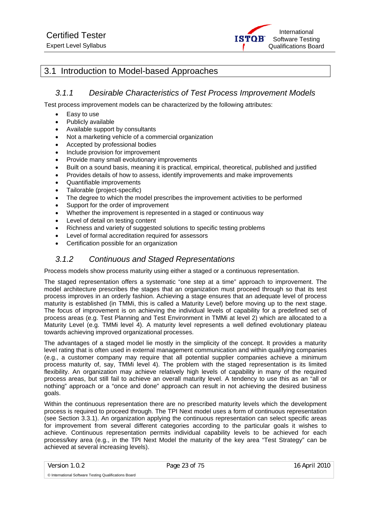

# 3.1 Introduction to Model-based Approaches

## *3.1.1 Desirable Characteristics of Test Process Improvement Models*

Test process improvement models can be characterized by the following attributes:

- Easy to use
- Publicly available
- Available support by consultants
- Not a marketing vehicle of a commercial organization
- Accepted by professional bodies
- Include provision for improvement
- Provide many small evolutionary improvements
- Built on a sound basis, meaning it is practical, empirical, theoretical, published and justified
- Provides details of how to assess, identify improvements and make improvements
- Quantifiable improvements
- Tailorable (project-specific)
- The degree to which the model prescribes the improvement activities to be performed
- Support for the order of improvement
- Whether the improvement is represented in a staged or continuous way
- Level of detail on testing content
- Richness and variety of suggested solutions to specific testing problems
- Level of formal accreditation required for assessors
- Certification possible for an organization

# *3.1.2 Continuous and Staged Representations*

Process models show process maturity using either a staged or a continuous representation.

The staged representation offers a systematic "one step at a time" approach to improvement. The model architecture prescribes the stages that an organization must proceed through so that its test process improves in an orderly fashion. Achieving a stage ensures that an adequate level of process maturity is established (in TMMi, this is called a Maturity Level) before moving up to the next stage. The focus of improvement is on achieving the individual levels of capability for a predefined set of process areas (e.g. Test Planning and Test Environment in TMMi at level 2) which are allocated to a Maturity Level (e.g. TMMi level 4). A maturity level represents a well defined evolutionary plateau towards achieving improved organizational processes.

The advantages of a staged model lie mostly in the simplicity of the concept. It provides a maturity level rating that is often used in external management communication and within qualifying companies (e.g., a customer company may require that all potential supplier companies achieve a minimum process maturity of, say, TMMi level 4). The problem with the staged representation is its limited flexibility. An organization may achieve relatively high levels of capability in many of the required process areas, but still fail to achieve an overall maturity level. A tendency to use this as an "all or nothing" approach or a "once and done" approach can result in not achieving the desired business goals.

Within the continuous representation there are no prescribed maturity levels which the development process is required to proceed through. The TPI Next model uses a form of continuous representation (see Section 3.3.1). An organization applying the continuous representation can select specific areas for improvement from several different categories according to the particular goals it wishes to achieve. Continuous representation permits individual capability levels to be achieved for each process/key area (e.g., in the TPI Next Model the maturity of the key area "Test Strategy" can be achieved at several increasing levels).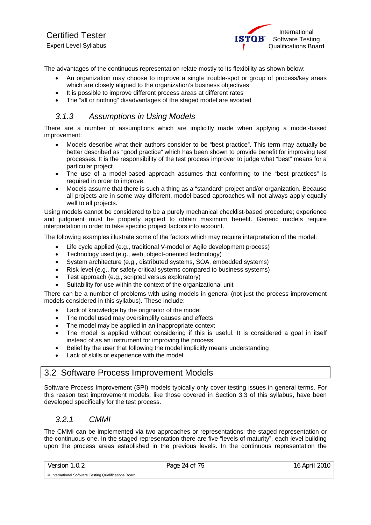The advantages of the continuous representation relate mostly to its flexibility as shown below:

- An organization may choose to improve a single trouble-spot or group of process/key areas which are closely aligned to the organization's business objectives
- It is possible to improve different process areas at different rates
- The "all or nothing" disadvantages of the staged model are avoided

# *3.1.3 Assumptions in Using Models*

There are a number of assumptions which are implicitly made when applying a model-based improvement:

- Models describe what their authors consider to be "best practice". This term may actually be better described as "good practice" which has been shown to provide benefit for improving test processes. It is the responsibility of the test process improver to judge what "best" means for a particular project.
- The use of a model-based approach assumes that conforming to the "best practices" is required in order to improve.
- Models assume that there is such a thing as a "standard" project and/or organization. Because all projects are in some way different, model-based approaches will not always apply equally well to all projects.

Using models cannot be considered to be a purely mechanical checklist-based procedure; experience and judgment must be properly applied to obtain maximum benefit. Generic models require interpretation in order to take specific project factors into account.

The following examples illustrate some of the factors which may require interpretation of the model:

- Life cycle applied (e.g., traditional V-model or Agile development process)
- Technology used (e.g., web, object-oriented technology)
- System architecture (e.g., distributed systems, SOA, embedded systems)
- Risk level (e.g., for safety critical systems compared to business systems)
- Test approach (e.g., scripted versus exploratory)
- Suitability for use within the context of the organizational unit

There can be a number of problems with using models in general (not just the process improvement models considered in this syllabus). These include:

- Lack of knowledge by the originator of the model
- The model used may oversimplify causes and effects
- The model may be applied in an inappropriate context
- The model is applied without considering if this is useful. It is considered a goal in itself instead of as an instrument for improving the process.
- Belief by the user that following the model implicitly means understanding
- Lack of skills or experience with the model

# 3.2 Software Process Improvement Models

Software Process Improvement (SPI) models typically only cover testing issues in general terms. For this reason test improvement models, like those covered in Section 3.3 of this syllabus, have been developed specifically for the test process.

# *3.2.1 CMMI*

The CMMI can be implemented via two approaches or representations: the staged representation or the continuous one. In the staged representation there are five "levels of maturity", each level building upon the process areas established in the previous levels. In the continuous representation the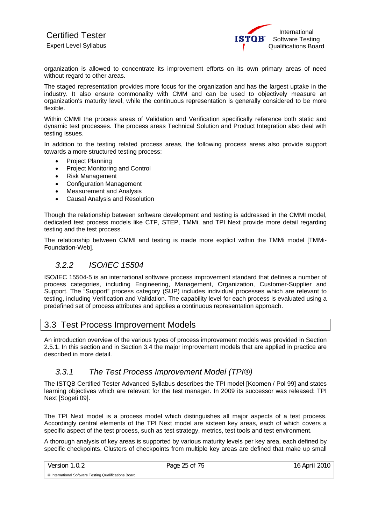organization is allowed to concentrate its improvement efforts on its own primary areas of need without regard to other areas.

The staged representation provides more focus for the organization and has the largest uptake in the industry. It also ensure commonality with CMM and can be used to objectively measure an organization's maturity level, while the continuous representation is generally considered to be more flexible.

Within CMMI the process areas of Validation and Verification specifically reference both static and dynamic test processes. The process areas Technical Solution and Product Integration also deal with testing issues.

In addition to the testing related process areas, the following process areas also provide support towards a more structured testing process:

- Project Planning
- Project Monitoring and Control
- Risk Management
- Configuration Management
- Measurement and Analysis
- Causal Analysis and Resolution

Though the relationship between software development and testing is addressed in the CMMI model, dedicated test process models like CTP, STEP, TMMi, and TPI Next provide more detail regarding testing and the test process.

The relationship between CMMI and testing is made more explicit within the TMMi model [TMMi-Foundation-Web].

# *3.2.2 ISO/IEC 15504*

ISO/IEC 15504-5 is an international software process improvement standard that defines a number of process categories, including Engineering, Management, Organization, Customer-Supplier and Support. The "Support" process category (SUP) includes individual processes which are relevant to testing, including Verification and Validation. The capability level for each process is evaluated using a predefined set of process attributes and applies a continuous representation approach.

# 3.3 Test Process Improvement Models

An introduction overview of the various types of process improvement models was provided in Section 2.5.1. In this section and in Section 3.4 the major improvement models that are applied in practice are described in more detail.

## *3.3.1 The Test Process Improvement Model (TPI®)*

The ISTQB Certified Tester Advanced Syllabus describes the TPI model [Koomen / Pol 99] and states learning objectives which are relevant for the test manager. In 2009 its successor was released: TPI Next [Sogeti 09].

The TPI Next model is a process model which distinguishes all major aspects of a test process. Accordingly central elements of the TPI Next model are sixteen key areas, each of which covers a specific aspect of the test process, such as test strategy, metrics, test tools and test environment.

A thorough analysis of key areas is supported by various maturity levels per key area, each defined by specific checkpoints. Clusters of checkpoints from multiple key areas are defined that make up small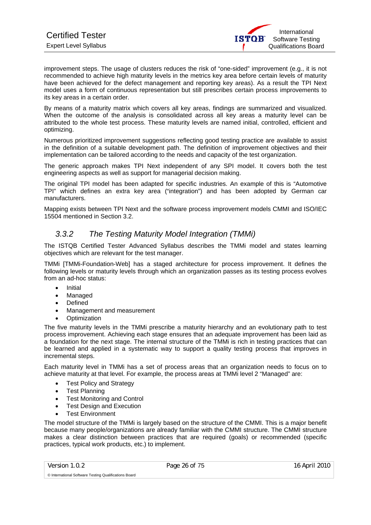improvement steps. The usage of clusters reduces the risk of "one-sided" improvement (e.g., it is not recommended to achieve high maturity levels in the metrics key area before certain levels of maturity have been achieved for the defect management and reporting key areas). As a result the TPI Next model uses a form of continuous representation but still prescribes certain process improvements to its key areas in a certain order.

By means of a maturity matrix which covers all key areas, findings are summarized and visualized. When the outcome of the analysis is consolidated across all key areas a maturity level can be attributed to the whole test process. These maturity levels are named initial, controlled, efficient and optimizing.

Numerous prioritized improvement suggestions reflecting good testing practice are available to assist in the definition of a suitable development path. The definition of improvement objectives and their implementation can be tailored according to the needs and capacity of the test organization.

The generic approach makes TPI Next independent of any SPI model. It covers both the test engineering aspects as well as support for managerial decision making.

The original TPI model has been adapted for specific industries. An example of this is "Automotive TPI" which defines an extra key area ("integration") and has been adopted by German car manufacturers.

Mapping exists between TPI Next and the software process improvement models CMMI and ISO/IEC 15504 mentioned in Section 3.2.

# *3.3.2 The Testing Maturity Model Integration (TMMi)*

The ISTQB Certified Tester Advanced Syllabus describes the TMMi model and states learning objectives which are relevant for the test manager.

TMMi [TMMi-Foundation-Web] has a staged architecture for process improvement. It defines the following levels or maturity levels through which an organization passes as its testing process evolves from an ad-hoc status:

- Initial
- Managed
- **Defined**
- Management and measurement
- **Optimization**

The five maturity levels in the TMMi prescribe a maturity hierarchy and an evolutionary path to test process improvement. Achieving each stage ensures that an adequate improvement has been laid as a foundation for the next stage. The internal structure of the TMMi is rich in testing practices that can be learned and applied in a systematic way to support a quality testing process that improves in incremental steps.

Each maturity level in TMMi has a set of process areas that an organization needs to focus on to achieve maturity at that level. For example, the process areas at TMMi level 2 "Managed" are:

- **Test Policy and Strategy**
- Test Planning
- Test Monitoring and Control
- Test Design and Execution
- **Test Environment**

© International Software Testing Qualifications Board

The model structure of the TMMi is largely based on the structure of the CMMI. This is a major benefit because many people/organizations are already familiar with the CMMI structure. The CMMI structure makes a clear distinction between practices that are required (goals) or recommended (specific practices, typical work products, etc.) to implement.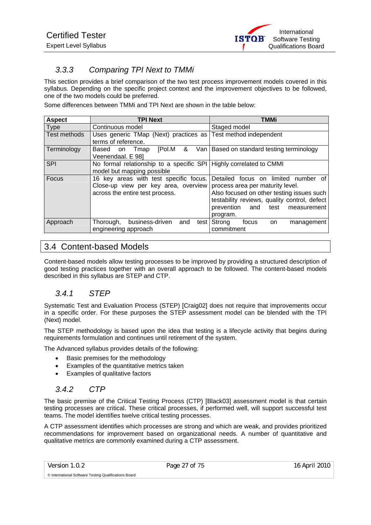# *3.3.3 Comparing TPI Next to TMMi*

This section provides a brief comparison of the two test process improvement models covered in this syllabus. Depending on the specific project context and the improvement objectives to be followed, one of the two models could be preferred.

Some differences between TMMi and TPI Next are shown in the table below:

| <b>Aspect</b> | <b>TPI Next</b>                                                                                                   | TMMi                                                                                                                                                                                                                                  |
|---------------|-------------------------------------------------------------------------------------------------------------------|---------------------------------------------------------------------------------------------------------------------------------------------------------------------------------------------------------------------------------------|
| <b>Type</b>   | Continuous model                                                                                                  | Staged model                                                                                                                                                                                                                          |
| Test methods  | Uses generic TMap (Next) practices as Test method independent<br>terms of reference.                              |                                                                                                                                                                                                                                       |
| Terminology   | [Pol.M]<br>&<br>Based on<br>Tmap<br>Veenendaal. E 981                                                             | Van   Based on standard testing terminology                                                                                                                                                                                           |
| <b>SPI</b>    | No formal relationship to a specific SPI   Highly correlated to CMMI<br>model but mapping possible                |                                                                                                                                                                                                                                       |
| Focus         | 16 key areas with test specific focus.<br>Close-up view per key area, overview<br>across the entire test process. | limited<br>Detailed<br>focus on<br>number of<br>process area per maturity level.<br>Also focused on other testing issues such<br>testability reviews, quality control, defect<br>prevention<br>test<br>and<br>measurement<br>program. |
| Approach      | business-driven<br>Thorough,<br>and<br>test l<br>engineering approach                                             | Strong<br>focus<br>on<br>management<br>commitment                                                                                                                                                                                     |

# 3.4 Content-based Models

Content-based models allow testing processes to be improved by providing a structured description of good testing practices together with an overall approach to be followed. The content-based models described in this syllabus are STEP and CTP.

# *3.4.1 STEP*

Systematic Test and Evaluation Process (STEP) [Craig02] does not require that improvements occur in a specific order. For these purposes the STEP assessment model can be blended with the TPI (Next) model.

The STEP methodology is based upon the idea that testing is a lifecycle activity that begins during requirements formulation and continues until retirement of the system.

The Advanced syllabus provides details of the following:

- Basic premises for the methodology
- Examples of the quantitative metrics taken
- Examples of qualitative factors

# *3.4.2 CTP*

The basic premise of the Critical Testing Process (CTP) [Black03] assessment model is that certain testing processes are critical. These critical processes, if performed well, will support successful test teams. The model identifies twelve critical testing processes.

A CTP assessment identifies which processes are strong and which are weak, and provides prioritized recommendations for improvement based on organizational needs. A number of quantitative and qualitative metrics are commonly examined during a CTP assessment.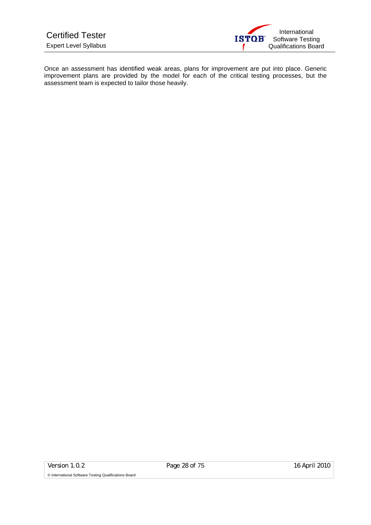Once an assessment has identified weak areas, plans for improvement are put into place. Generic improvement plans are provided by the model for each of the critical testing processes, but the assessment team is expected to tailor those heavily.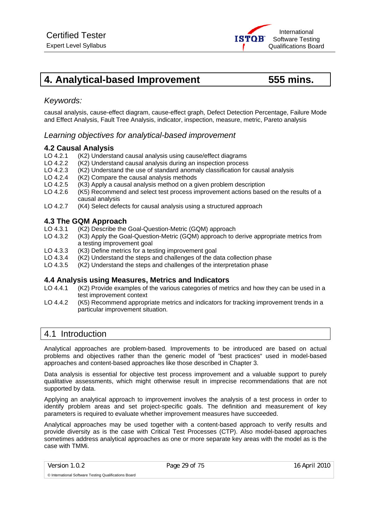# **4. Analytical-based Improvement 555 mins.**

# *Keywords:*

causal analysis, cause-effect diagram, cause-effect graph, Defect Detection Percentage, Failure Mode and Effect Analysis, Fault Tree Analysis, indicator, inspection, measure, metric, Pareto analysis

## *Learning objectives for analytical-based improvement*

#### **4.2 Causal Analysis**

- LO 4.2.1 (K2) Understand causal analysis using cause/effect diagrams
- LO 4.2.2 (K2) Understand causal analysis during an inspection process
- LO 4.2.3 (K2) Understand the use of standard anomaly classification for causal analysis
- LO 4.2.4 (K2) Compare the causal analysis methods
- LO 4.2.5 (K3) Apply a causal analysis method on a given problem description
- LO 4.2.6 (K5) Recommend and select test process improvement actions based on the results of a causal analysis
- LO 4.2.7 (K4) Select defects for causal analysis using a structured approach

#### **4.3 The GQM Approach**

- LO 4.3.1 (K2) Describe the Goal-Question-Metric (GQM) approach
- LO 4.3.2 (K3) Apply the Goal-Question-Metric (GQM) approach to derive appropriate metrics from a testing improvement goal
- LO 4.3.3 (K3) Define metrics for a testing improvement goal<br>LO 4.3.4 (K2) Understand the steps and challenges of the da
- $(K2)$  Understand the steps and challenges of the data collection phase
- LO 4.3.5 (K2) Understand the steps and challenges of the interpretation phase

#### **4.4 Analysis using Measures, Metrics and Indicators**

- LO 4.4.1 (K2) Provide examples of the various categories of metrics and how they can be used in a test improvement context
- LO 4.4.2 (K5) Recommend appropriate metrics and indicators for tracking improvement trends in a particular improvement situation.

# 4.1 Introduction

Analytical approaches are problem-based. Improvements to be introduced are based on actual problems and objectives rather than the generic model of "best practices" used in model-based approaches and content-based approaches like those described in Chapter 3.

Data analysis is essential for objective test process improvement and a valuable support to purely qualitative assessments, which might otherwise result in imprecise recommendations that are not supported by data.

Applying an analytical approach to improvement involves the analysis of a test process in order to identify problem areas and set project-specific goals. The definition and measurement of key parameters is required to evaluate whether improvement measures have succeeded.

Analytical approaches may be used together with a content-based approach to verify results and provide diversity as is the case with Critical Test Processes (CTP). Also model-based approaches sometimes address analytical approaches as one or more separate key areas with the model as is the case with TMMi.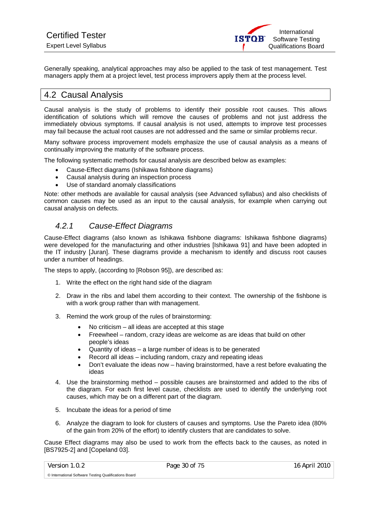Generally speaking, analytical approaches may also be applied to the task of test management. Test managers apply them at a project level, test process improvers apply them at the process level.

# 4.2 Causal Analysis

Causal analysis is the study of problems to identify their possible root causes. This allows identification of solutions which will remove the causes of problems and not just address the immediately obvious symptoms. If causal analysis is not used, attempts to improve test processes may fail because the actual root causes are not addressed and the same or similar problems recur.

Many software process improvement models emphasize the use of causal analysis as a means of continually improving the maturity of the software process.

The following systematic methods for causal analysis are described below as examples:

- Cause-Effect diagrams (Ishikawa fishbone diagrams)
- Causal analysis during an inspection process
- Use of standard anomaly classifications

Note: other methods are available for causal analysis (see Advanced syllabus) and also checklists of common causes may be used as an input to the causal analysis, for example when carrying out causal analysis on defects.

# *4.2.1 Cause-Effect Diagrams*

Cause-Effect diagrams (also known as Ishikawa fishbone diagrams: Ishikawa fishbone diagrams) were developed for the manufacturing and other industries [Ishikawa 91] and have been adopted in the IT industry [Juran]. These diagrams provide a mechanism to identify and discuss root causes under a number of headings.

The steps to apply, (according to [Robson 95]), are described as:

- 1. Write the effect on the right hand side of the diagram
- 2. Draw in the ribs and label them according to their context. The ownership of the fishbone is with a work group rather than with management.
- 3. Remind the work group of the rules of brainstorming:
	- No criticism all ideas are accepted at this stage
	- Freewheel random, crazy ideas are welcome as are ideas that build on other people's ideas
	- Quantity of ideas a large number of ideas is to be generated
	- Record all ideas including random, crazy and repeating ideas
	- Don't evaluate the ideas now having brainstormed, have a rest before evaluating the ideas
- 4. Use the brainstorming method possible causes are brainstormed and added to the ribs of the diagram. For each first level cause, checklists are used to identify the underlying root causes, which may be on a different part of the diagram.
- 5. Incubate the ideas for a period of time
- 6. Analyze the diagram to look for clusters of causes and symptoms. Use the Pareto idea (80% of the gain from 20% of the effort) to identify clusters that are candidates to solve.

Cause Effect diagrams may also be used to work from the effects back to the causes, as noted in [BS7925-2] and [Copeland 03].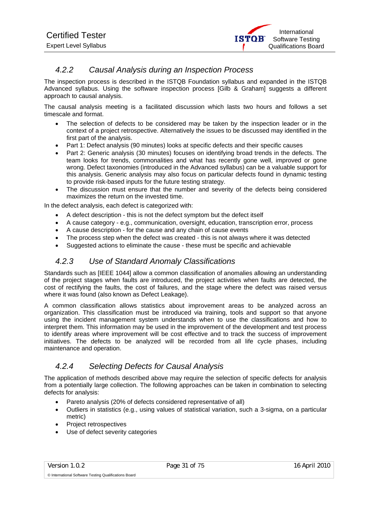# *4.2.2 Causal Analysis during an Inspection Process*

The inspection process is described in the ISTQB Foundation syllabus and expanded in the ISTQB Advanced syllabus. Using the software inspection process [Gilb & Graham] suggests a different approach to causal analysis.

The causal analysis meeting is a facilitated discussion which lasts two hours and follows a set timescale and format.

- The selection of defects to be considered may be taken by the inspection leader or in the context of a project retrospective. Alternatively the issues to be discussed may identified in the first part of the analysis.
- Part 1: Defect analysis (90 minutes) looks at specific defects and their specific causes
- Part 2: Generic analysis (30 minutes) focuses on identifying broad trends in the defects. The team looks for trends, commonalities and what has recently gone well, improved or gone wrong. Defect taxonomies (introduced in the Advanced syllabus) can be a valuable support for this analysis. Generic analysis may also focus on particular defects found in dynamic testing to provide risk-based inputs for the future testing strategy.
- The discussion must ensure that the number and severity of the defects being considered maximizes the return on the invested time.

In the defect analysis, each defect is categorized with:

- A defect description this is not the defect symptom but the defect itself
- A cause category e.g., communication, oversight, education, transcription error, process
- A cause description for the cause and any chain of cause events
- The process step when the defect was created this is not always where it was detected
- Suggested actions to eliminate the cause these must be specific and achievable

## *4.2.3 Use of Standard Anomaly Classifications*

Standards such as [IEEE 1044] allow a common classification of anomalies allowing an understanding of the project stages when faults are introduced, the project activities when faults are detected, the cost of rectifying the faults, the cost of failures, and the stage where the defect was raised versus where it was found (also known as Defect Leakage).

A common classification allows statistics about improvement areas to be analyzed across an organization. This classification must be introduced via training, tools and support so that anyone using the incident management system understands when to use the classifications and how to interpret them. This information may be used in the improvement of the development and test process to identify areas where improvement will be cost effective and to track the success of improvement initiatives. The defects to be analyzed will be recorded from all life cycle phases, including maintenance and operation.

# *4.2.4 Selecting Defects for Causal Analysis*

The application of methods described above may require the selection of specific defects for analysis from a potentially large collection. The following approaches can be taken in combination to selecting defects for analysis:

- Pareto analysis (20% of defects considered representative of all)
- Outliers in statistics (e.g., using values of statistical variation, such a 3-sigma, on a particular metric)
- Project retrospectives
- Use of defect severity categories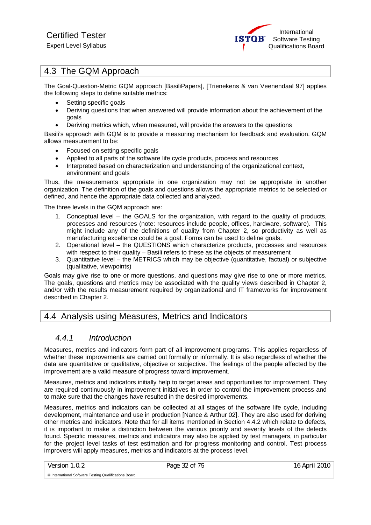International **ISTOR** Software Testing Qualifications Board

# 4.3 The GQM Approach

The Goal-Question-Metric GQM approach [BasiliPapers], [Trienekens & van Veenendaal 97] applies the following steps to define suitable metrics:

- Setting specific goals
- Deriving questions that when answered will provide information about the achievement of the goals
- Deriving metrics which, when measured, will provide the answers to the questions

Basili's approach with GQM is to provide a measuring mechanism for feedback and evaluation. GQM allows measurement to be:

- Focused on setting specific goals
- Applied to all parts of the software life cycle products, process and resources
- Interpreted based on characterization and understanding of the organizational context, environment and goals

Thus, the measurements appropriate in one organization may not be appropriate in another organization. The definition of the goals and questions allows the appropriate metrics to be selected or defined, and hence the appropriate data collected and analyzed.

The three levels in the GQM approach are:

- 1. Conceptual level the GOALS for the organization, with regard to the quality of products, processes and resources (note: resources include people, offices, hardware, software). This might include any of the definitions of quality from Chapter 2, so productivity as well as manufacturing excellence could be a goal. Forms can be used to define goals.
- 2. Operational level the QUESTIONS which characterize products, processes and resources with respect to their quality – Basili refers to these as the objects of measurement
- 3. Quantitative level the METRICS which may be objective (quantitative, factual) or subjective (qualitative, viewpoints)

Goals may give rise to one or more questions, and questions may give rise to one or more metrics. The goals, questions and metrics may be associated with the quality views described in Chapter 2, and/or with the results measurement required by organizational and IT frameworks for improvement described in Chapter 2.

# 4.4 Analysis using Measures, Metrics and Indicators

## *4.4.1 Introduction*

Measures, metrics and indicators form part of all improvement programs. This applies regardless of whether these improvements are carried out formally or informally. It is also regardless of whether the data are quantitative or qualitative, objective or subjective. The feelings of the people affected by the improvement are a valid measure of progress toward improvement.

Measures, metrics and indicators initially help to target areas and opportunities for improvement. They are required continuously in improvement initiatives in order to control the improvement process and to make sure that the changes have resulted in the desired improvements.

Measures, metrics and indicators can be collected at all stages of the software life cycle, including development, maintenance and use in production [Nance & Arthur 02]. They are also used for deriving other metrics and indicators. Note that for all items mentioned in Section 4.4.2 which relate to defects, it is important to make a distinction between the various priority and severity levels of the defects found. Specific measures, metrics and indicators may also be applied by test managers, in particular for the project level tasks of test estimation and for progress monitoring and control. Test process improvers will apply measures, metrics and indicators at the process level.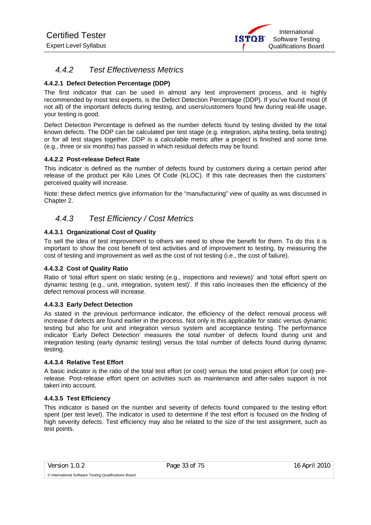# *4.4.2 Test Effectiveness Metrics*

#### **4.4.2.1 Defect Detection Percentage (DDP)**

The first indicator that can be used in almost any test improvement process, and is highly recommended by most test experts, is the Defect Detection Percentage (DDP). If you've found most (if not all) of the important defects during testing, and users/customers found few during real-life usage, your testing is good.

Defect Detection Percentage is defined as the number defects found by testing divided by the total known defects. The DDP can be calculated per test stage (e.g. integration, alpha testing, beta testing) or for all test stages together. DDP is a calculable metric after a project is finished and some time (e.g., three or six months) has passed in which residual defects may be found.

#### **4.4.2.2 Post-release Defect Rate**

This indicator is defined as the number of defects found by customers during a certain period after release of the product per Kilo Lines Of Code (KLOC). If this rate decreases then the customers' perceived quality will increase.

Note: these defect metrics give information for the "manufacturing" view of quality as was discussed in Chapter 2.

## *4.4.3 Test Efficiency / Cost Metrics*

#### **4.4.3.1 Organizational Cost of Quality**

To sell the idea of test improvement to others we need to show the benefit for them. To do this it is important to show the cost benefit of test activities and of improvement to testing, by measuring the cost of testing and improvement as well as the cost of not testing (i.e., the cost of failure).

#### **4.4.3.2 Cost of Quality Ratio**

Ratio of 'total effort spent on static testing (e.g., inspections and reviews)' and 'total effort spent on dynamic testing (e.g., unit, integration, system test)'. If this ratio increases then the efficiency of the defect removal process will increase.

#### **4.4.3.3 Early Defect Detection**

As stated in the previous performance indicator, the efficiency of the defect removal process will increase if defects are found earlier in the process. Not only is this applicable for static versus dynamic testing but also for unit and integration versus system and acceptance testing. The performance indicator 'Early Defect Detection' measures the total number of defects found during unit and integration testing (early dynamic testing) versus the total number of defects found during dynamic testing.

#### **4.4.3.4 Relative Test Effort**

A basic indicator is the ratio of the total test effort (or cost) versus the total project effort (or cost) prerelease. Post-release effort spent on activities such as maintenance and after-sales support is not taken into account.

#### **4.4.3.5 Test Efficiency**

This indicator is based on the number and severity of defects found compared to the testing effort spent (per test level). The indicator is used to determine if the test effort is focused on the finding of high severity defects. Test efficiency may also be related to the size of the test assignment, such as test points.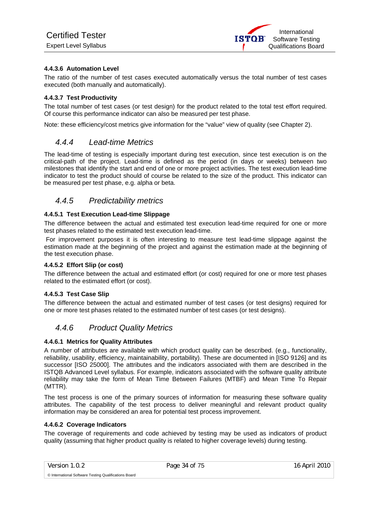#### **4.4.3.6 Automation Level**

The ratio of the number of test cases executed automatically versus the total number of test cases executed (both manually and automatically).

#### **4.4.3.7 Test Productivity**

The total number of test cases (or test design) for the product related to the total test effort required. Of course this performance indicator can also be measured per test phase.

Note: these efficiency/cost metrics give information for the "value" view of quality (see Chapter 2).

#### *4.4.4 Lead-time Metrics*

The lead-time of testing is especially important during test execution, since test execution is on the critical-path of the project. Lead-time is defined as the period (in days or weeks) between two milestones that identify the start and end of one or more project activities. The test execution lead-time indicator to test the product should of course be related to the size of the product. This indicator can be measured per test phase, e.g. alpha or beta.

## *4.4.5 Predictability metrics*

#### **4.4.5.1 Test Execution Lead-time Slippage**

The difference between the actual and estimated test execution lead-time required for one or more test phases related to the estimated test execution lead-time.

 For improvement purposes it is often interesting to measure test lead-time slippage against the estimation made at the beginning of the project and against the estimation made at the beginning of the test execution phase.

#### **4.4.5.2 Effort Slip (or cost)**

The difference between the actual and estimated effort (or cost) required for one or more test phases related to the estimated effort (or cost).

#### **4.4.5.3 Test Case Slip**

The difference between the actual and estimated number of test cases (or test designs) required for one or more test phases related to the estimated number of test cases (or test designs).

## *4.4.6 Product Quality Metrics*

#### **4.4.6.1 Metrics for Quality Attributes**

A number of attributes are available with which product quality can be described. (e.g., functionality, reliability, usability, efficiency, maintainability, portability). These are documented in [ISO 9126] and its successor [ISO 25000]. The attributes and the indicators associated with them are described in the ISTQB Advanced Level syllabus. For example, indicators associated with the software quality attribute reliability may take the form of Mean Time Between Failures (MTBF) and Mean Time To Repair (MTTR).

The test process is one of the primary sources of information for measuring these software quality attributes. The capability of the test process to deliver meaningful and relevant product quality information may be considered an area for potential test process improvement.

#### **4.4.6.2 Coverage Indicators**

© International Software Testing Qualifications Board

The coverage of requirements and code achieved by testing may be used as indicators of product quality (assuming that higher product quality is related to higher coverage levels) during testing.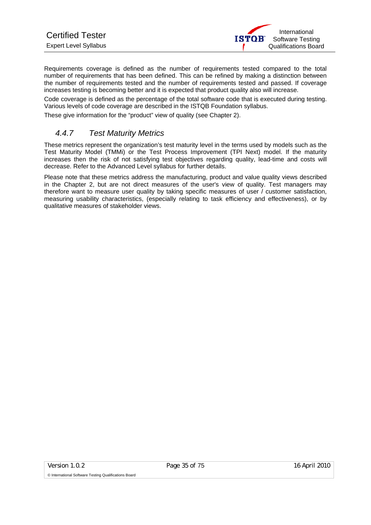Requirements coverage is defined as the number of requirements tested compared to the total number of requirements that has been defined. This can be refined by making a distinction between the number of requirements tested and the number of requirements tested and passed. If coverage increases testing is becoming better and it is expected that product quality also will increase.

Code coverage is defined as the percentage of the total software code that is executed during testing. Various levels of code coverage are described in the ISTQB Foundation syllabus.

These give information for the "product" view of quality (see Chapter 2).

## *4.4.7 Test Maturity Metrics*

These metrics represent the organization's test maturity level in the terms used by models such as the Test Maturity Model (TMMi) or the Test Process Improvement (TPI Next) model. If the maturity increases then the risk of not satisfying test objectives regarding quality, lead-time and costs will decrease. Refer to the Advanced Level syllabus for further details.

Please note that these metrics address the manufacturing, product and value quality views described in the Chapter 2, but are not direct measures of the user's view of quality. Test managers may therefore want to measure user quality by taking specific measures of user / customer satisfaction, measuring usability characteristics, (especially relating to task efficiency and effectiveness), or by qualitative measures of stakeholder views.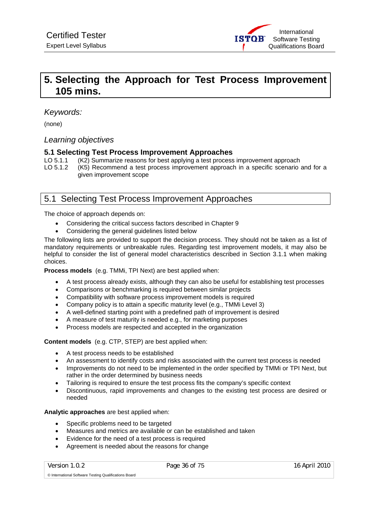

# **5. Selecting the Approach for Test Process Improvement 105 mins.**

## *Keywords:*

(none)

#### *Learning objectives*

#### **5.1 Selecting Test Process Improvement Approaches**

- LO 5.1.1 (K2) Summarize reasons for best applying a test process improvement approach
- LO 5.1.2 (K5) Recommend a test process improvement approach in a specific scenario and for a given improvement scope

# 5.1 Selecting Test Process Improvement Approaches

The choice of approach depends on:

- Considering the critical success factors described in Chapter 9
- Considering the general guidelines listed below

The following lists are provided to support the decision process. They should not be taken as a list of mandatory requirements or unbreakable rules. Regarding test improvement models, it may also be helpful to consider the list of general model characteristics described in Section 3.1.1 when making choices.

**Process models** (e.g. TMMi, TPI Next) are best applied when:

- A test process already exists, although they can also be useful for establishing test processes
- Comparisons or benchmarking is required between similar projects
- Compatibility with software process improvement models is required
- Company policy is to attain a specific maturity level (e.g., TMMi Level 3)
- A well-defined starting point with a predefined path of improvement is desired
- A measure of test maturity is needed e.g., for marketing purposes
- Process models are respected and accepted in the organization

**Content models** (e.g. CTP, STEP) are best applied when:

- A test process needs to be established
- An assessment to identify costs and risks associated with the current test process is needed
- Improvements do not need to be implemented in the order specified by TMMi or TPI Next, but rather in the order determined by business needs
- Tailoring is required to ensure the test process fits the company's specific context
- Discontinuous, rapid improvements and changes to the existing test process are desired or needed

#### **Analytic approaches** are best applied when:

- Specific problems need to be targeted
- Measures and metrics are available or can be established and taken
- Evidence for the need of a test process is required
- Agreement is needed about the reasons for change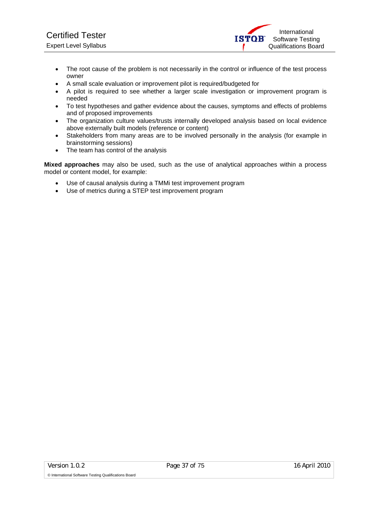- The root cause of the problem is not necessarily in the control or influence of the test process owner
- A small scale evaluation or improvement pilot is required/budgeted for
- A pilot is required to see whether a larger scale investigation or improvement program is needed
- To test hypotheses and gather evidence about the causes, symptoms and effects of problems and of proposed improvements
- The organization culture values/trusts internally developed analysis based on local evidence above externally built models (reference or content)
- Stakeholders from many areas are to be involved personally in the analysis (for example in brainstorming sessions)
- The team has control of the analysis

**Mixed approaches** may also be used, such as the use of analytical approaches within a process model or content model, for example:

- Use of causal analysis during a TMMi test improvement program
- Use of metrics during a STEP test improvement program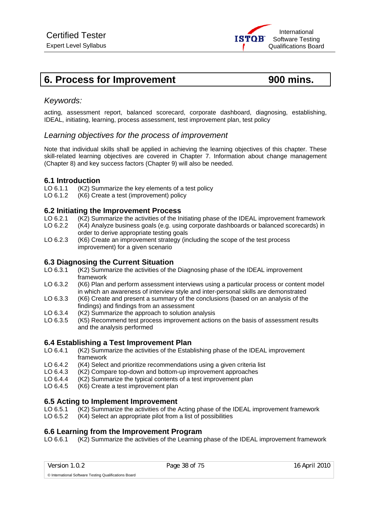# **6. Process for Improvement 6. Process for Improvement 6. Process for Improvement**

# *Keywords:*

acting, assessment report, balanced scorecard, corporate dashboard, diagnosing, establishing, IDEAL, initiating, learning, process assessment, test improvement plan, test policy

# *Learning objectives for the process of improvement*

Note that individual skills shall be applied in achieving the learning objectives of this chapter. These skill-related learning objectives are covered in Chapter 7. Information about change management (Chapter 8) and key success factors (Chapter 9) will also be needed.

# **6.1 Introduction**

- LO 6.1.1 (K2) Summarize the key elements of a test policy
- LO 6.1.2 (K6) Create a test (improvement) policy

# **6.2 Initiating the Improvement Process**

- LO 6.2.1 (K2) Summarize the activities of the Initiating phase of the IDEAL improvement framework
- LO 6.2.2 (K4) Analyze business goals (e.g. using corporate dashboards or balanced scorecards) in order to derive appropriate testing goals
- LO 6.2.3 (K6) Create an improvement strategy (including the scope of the test process improvement) for a given scenario

# **6.3 Diagnosing the Current Situation**<br>LO 6.3.1 (K2) Summarize the activities of the

- $(K2)$  Summarize the activities of the Diagnosing phase of the IDEAL improvement framework
- LO 6.3.2 (K6) Plan and perform assessment interviews using a particular process or content model in which an awareness of interview style and inter-personal skills are demonstrated
- LO 6.3.3 (K6) Create and present a summary of the conclusions (based on an analysis of the findings) and findings from an assessment
- LO 6.3.4 (K2) Summarize the approach to solution analysis
- LO 6.3.5 (K5) Recommend test process improvement actions on the basis of assessment results and the analysis performed

# **6.4 Establishing a Test Improvement Plan**

- LO 6.4.1 (K2) Summarize the activities of the Establishing phase of the IDEAL improvement framework
- LO 6.4.2 (K4) Select and prioritize recommendations using a given criteria list<br>LO 6.4.3 (K2) Compare top-down and bottom-up improvement approaches
- (K2) Compare top-down and bottom-up improvement approaches
- LO 6.4.4 (K2) Summarize the typical contents of a test improvement plan
- LO 6.4.5 (K6) Create a test improvement plan

# **6.5 Acting to Implement Improvement**

- LO 6.5.1 (K2) Summarize the activities of the Acting phase of the IDEAL improvement framework
- LO 6.5.2 (K4) Select an appropriate pilot from a list of possibilities

# **6.6 Learning from the Improvement Program**

LO 6.6.1 (K2) Summarize the activities of the Learning phase of the IDEAL improvement framework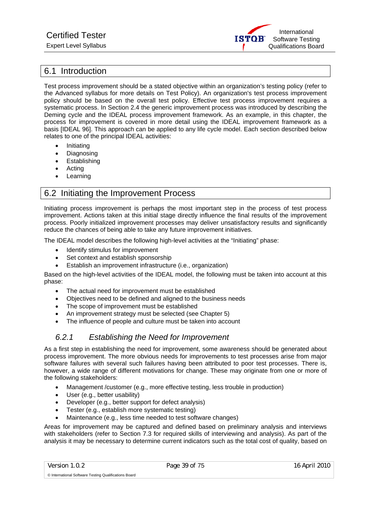

# 6.1 Introduction

Test process improvement should be a stated objective within an organization's testing policy (refer to the Advanced syllabus for more details on Test Policy). An organization's test process improvement policy should be based on the overall test policy. Effective test process improvement requires a systematic process. In Section 2.4 the generic improvement process was introduced by describing the Deming cycle and the IDEAL process improvement framework. As an example, in this chapter, the process for improvement is covered in more detail using the IDEAL improvement framework as a basis [IDEAL 96]. This approach can be applied to any life cycle model. Each section described below relates to one of the principal IDEAL activities:

- Initiating
- **Diagnosing**
- **Establishing**
- Acting
- **Learning**

# 6.2 Initiating the Improvement Process

Initiating process improvement is perhaps the most important step in the process of test process improvement. Actions taken at this initial stage directly influence the final results of the improvement process. Poorly initialized improvement processes may deliver unsatisfactory results and significantly reduce the chances of being able to take any future improvement initiatives.

The IDEAL model describes the following high-level activities at the "Initiating" phase:

- Identify stimulus for improvement
- Set context and establish sponsorship
- Establish an improvement infrastructure (i.e., organization)

Based on the high-level activities of the IDEAL model, the following must be taken into account at this phase:

- The actual need for improvement must be established
- Objectives need to be defined and aligned to the business needs
- The scope of improvement must be established
- An improvement strategy must be selected (see Chapter 5)
- The influence of people and culture must be taken into account

# *6.2.1 Establishing the Need for Improvement*

As a first step in establishing the need for improvement, some awareness should be generated about process improvement. The more obvious needs for improvements to test processes arise from major software failures with several such failures having been attributed to poor test processes. There is, however, a wide range of different motivations for change. These may originate from one or more of the following stakeholders:

- Management /customer (e.g., more effective testing, less trouble in production)
- User (e.g., better usability)
- Developer (e.g., better support for defect analysis)
- Tester (e.g., establish more systematic testing)
- Maintenance (e.g., less time needed to test software changes)

Areas for improvement may be captured and defined based on preliminary analysis and interviews with stakeholders (refer to Section 7.3 for required skills of interviewing and analysis). As part of the analysis it may be necessary to determine current indicators such as the total cost of quality, based on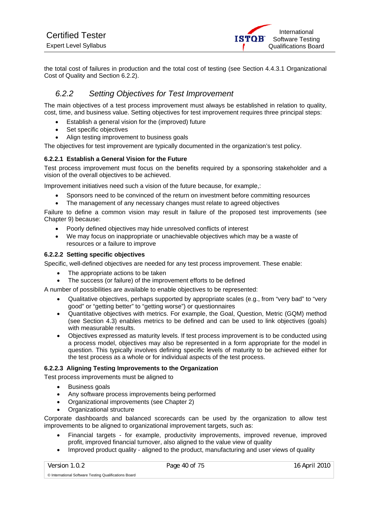the total cost of failures in production and the total cost of testing (see Section 4.4.3.1 Organizational Cost of Quality and Section 6.2.2).

# *6.2.2 Setting Objectives for Test Improvement*

The main objectives of a test process improvement must always be established in relation to quality, cost, time, and business value. Setting objectives for test improvement requires three principal steps:

- Establish a general vision for the (improved) future
- Set specific objectives
- Align testing improvement to business goals

The objectives for test improvement are typically documented in the organization's test policy.

#### **6.2.2.1 Establish a General Vision for the Future**

Test process improvement must focus on the benefits required by a sponsoring stakeholder and a vision of the overall objectives to be achieved.

Improvement initiatives need such a vision of the future because, for example,:

- Sponsors need to be convinced of the return on investment before committing resources
- The management of any necessary changes must relate to agreed objectives

Failure to define a common vision may result in failure of the proposed test improvements (see Chapter 9) because:

- Poorly defined objectives may hide unresolved conflicts of interest
- We may focus on inappropriate or unachievable objectives which may be a waste of resources or a failure to improve

#### **6.2.2.2 Setting specific objectives**

Specific, well-defined objectives are needed for any test process improvement. These enable:

- The appropriate actions to be taken
- The success (or failure) of the improvement efforts to be defined

A number of possibilities are available to enable objectives to be represented:

- Qualitative objectives, perhaps supported by appropriate scales (e.g., from "very bad" to "very good" or "getting better" to "getting worse") or questionnaires
- Quantitative objectives with metrics. For example, the Goal, Question, Metric (GQM) method (see Section 4.3) enables metrics to be defined and can be used to link objectives (goals) with measurable results.
- Objectives expressed as maturity levels. If test process improvement is to be conducted using a process model, objectives may also be represented in a form appropriate for the model in question. This typically involves defining specific levels of maturity to be achieved either for the test process as a whole or for individual aspects of the test process.

#### **6.2.2.3 Aligning Testing Improvements to the Organization**

Test process improvements must be aligned to

- Business goals
- Any software process improvements being performed
- Organizational improvements (see Chapter 2)
- Organizational structure

Corporate dashboards and balanced scorecards can be used by the organization to allow test improvements to be aligned to organizational improvement targets, such as:

- Financial targets for example, productivity improvements, improved revenue, improved profit, improved financial turnover, also aligned to the value view of quality
- Improved product quality aligned to the product, manufacturing and user views of quality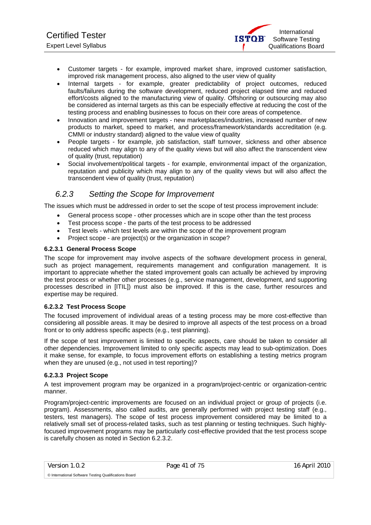- Customer targets for example, improved market share, improved customer satisfaction, improved risk management process, also aligned to the user view of quality
- Internal targets for example, greater predictability of project outcomes, reduced faults/failures during the software development, reduced project elapsed time and reduced effort/costs aligned to the manufacturing view of quality. Offshoring or outsourcing may also be considered as internal targets as this can be especially effective at reducing the cost of the testing process and enabling businesses to focus on their core areas of competence.
- Innovation and improvement targets new marketplaces/industries, increased number of new products to market, speed to market, and process/framework/standards accreditation (e.g. CMMI or industry standard) aligned to the value view of quality
- People targets for example, job satisfaction, staff turnover, sickness and other absence reduced which may align to any of the quality views but will also affect the transcendent view of quality (trust, reputation)
- Social involvement/political targets for example, environmental impact of the organization, reputation and publicity which may align to any of the quality views but will also affect the transcendent view of quality (trust, reputation)

# *6.2.3 Setting the Scope for Improvement*

The issues which must be addressed in order to set the scope of test process improvement include:

- General process scope other processes which are in scope other than the test process
- Test process scope the parts of the test process to be addressed
- Test levels which test levels are within the scope of the improvement program
- Project scope are project(s) or the organization in scope?

#### **6.2.3.1 General Process Scope**

The scope for improvement may involve aspects of the software development process in general, such as project management, requirements management and configuration management. It is important to appreciate whether the stated improvement goals can actually be achieved by improving the test process or whether other processes (e.g., service management, development, and supporting processes described in [ITIL]) must also be improved. If this is the case, further resources and expertise may be required.

#### **6.2.3.2 Test Process Scope**

The focused improvement of individual areas of a testing process may be more cost-effective than considering all possible areas. It may be desired to improve all aspects of the test process on a broad front or to only address specific aspects (e.g., test planning).

If the scope of test improvement is limited to specific aspects, care should be taken to consider all other dependencies. Improvement limited to only specific aspects may lead to sub-optimization. Does it make sense, for example, to focus improvement efforts on establishing a testing metrics program when they are unused (e.g., not used in test reporting)?

#### **6.2.3.3 Project Scope**

A test improvement program may be organized in a program/project-centric or organization-centric manner.

Program/project-centric improvements are focused on an individual project or group of projects (i.e. program). Assessments, also called audits, are generally performed with project testing staff (e.g., testers, test managers). The scope of test process improvement considered may be limited to a relatively small set of process-related tasks, such as test planning or testing techniques. Such highlyfocused improvement programs may be particularly cost-effective provided that the test process scope is carefully chosen as noted in Section 6.2.3.2.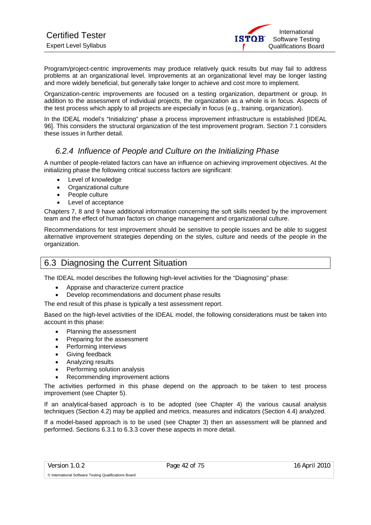Program/project-centric improvements may produce relatively quick results but may fail to address problems at an organizational level. Improvements at an organizational level may be longer lasting and more widely beneficial, but generally take longer to achieve and cost more to implement.

Organization-centric improvements are focused on a testing organization, department or group. In addition to the assessment of individual projects, the organization as a whole is in focus. Aspects of the test process which apply to all projects are especially in focus (e.g., training, organization).

In the IDEAL model's "Initializing" phase a process improvement infrastructure is established [IDEAL 96]. This considers the structural organization of the test improvement program. Section 7.1 considers these issues in further detail.

# *6.2.4 Influence of People and Culture on the Initializing Phase*

A number of people-related factors can have an influence on achieving improvement objectives. At the initializing phase the following critical success factors are significant:

- Level of knowledge
- Organizational culture
- People culture
- Level of acceptance

Chapters 7, 8 and 9 have additional information concerning the soft skills needed by the improvement team and the effect of human factors on change management and organizational culture.

Recommendations for test improvement should be sensitive to people issues and be able to suggest alternative improvement strategies depending on the styles, culture and needs of the people in the organization.

# 6.3 Diagnosing the Current Situation

The IDEAL model describes the following high-level activities for the "Diagnosing" phase:

- Appraise and characterize current practice
- Develop recommendations and document phase results

The end result of this phase is typically a test assessment report.

Based on the high-level activities of the IDEAL model, the following considerations must be taken into account in this phase:

- Planning the assessment
- Preparing for the assessment
- Performing interviews
- Giving feedback
- Analyzing results
- Performing solution analysis
- Recommending improvement actions

The activities performed in this phase depend on the approach to be taken to test process improvement (see Chapter 5).

If an analytical-based approach is to be adopted (see Chapter 4) the various causal analysis techniques (Section 4.2) may be applied and metrics, measures and indicators (Section 4.4) analyzed.

If a model-based approach is to be used (see Chapter 3) then an assessment will be planned and performed. Sections 6.3.1 to 6.3.3 cover these aspects in more detail.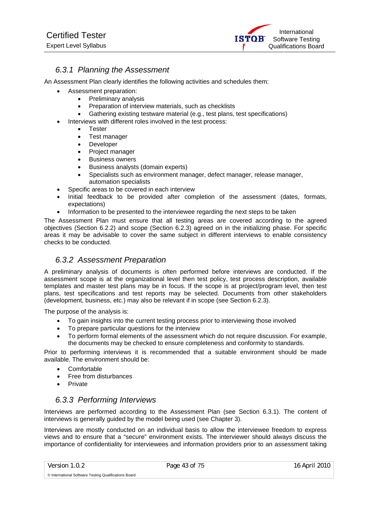

# *6.3.1 Planning the Assessment*

An Assessment Plan clearly identifies the following activities and schedules them:

- Assessment preparation:
	- Preliminary analysis
	- Preparation of interview materials, such as checklists
	- Gathering existing testware material (e.g., test plans, test specifications)
- Interviews with different roles involved in the test process:
	- Tester
		- Test manager
		- **Developer**
		- Project manager
		- **Business owners**
		- Business analysts (domain experts)
		- Specialists such as environment manager, defect manager, release manager, automation specialists
- Specific areas to be covered in each interview
- Initial feedback to be provided after completion of the assessment (dates, formats, expectations)
- Information to be presented to the interviewee regarding the next steps to be taken

The Assessment Plan must ensure that all testing areas are covered according to the agreed objectives (Section 6.2.2) and scope (Section 6.2.3) agreed on in the initializing phase. For specific areas it may be advisable to cover the same subject in different interviews to enable consistency checks to be conducted.

# *6.3.2 Assessment Preparation*

A preliminary analysis of documents is often performed before interviews are conducted. If the assessment scope is at the organizational level then test policy, test process description, available templates and master test plans may be in focus. If the scope is at project/program level, then test plans, test specifications and test reports may be selected. Documents from other stakeholders (development, business, etc.) may also be relevant if in scope (see Section 6.2.3).

The purpose of the analysis is:

- To gain insights into the current testing process prior to interviewing those involved
- To prepare particular questions for the interview
- To perform formal elements of the assessment which do not require discussion. For example, the documents may be checked to ensure completeness and conformity to standards.

Prior to performing interviews it is recommended that a suitable environment should be made available. The environment should be:

- **Comfortable**
- Free from disturbances
- Private

# *6.3.3 Performing Interviews*

Interviews are performed according to the Assessment Plan (see Section 6.3.1). The content of interviews is generally guided by the model being used (see Chapter 3).

Interviews are mostly conducted on an individual basis to allow the interviewee freedom to express views and to ensure that a "secure" environment exists. The interviewer should always discuss the importance of confidentiality for interviewees and information providers prior to an assessment taking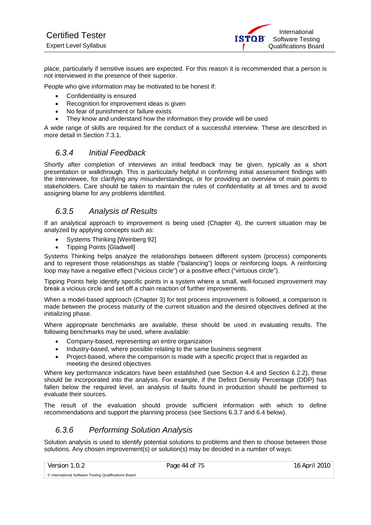place, particularly if sensitive issues are expected. For this reason it is recommended that a person is not interviewed in the presence of their superior.

People who give information may be motivated to be honest if:

- Confidentiality is ensured
- Recognition for improvement ideas is given
- No fear of punishment or failure exists
- They know and understand how the information they provide will be used

A wide range of skills are required for the conduct of a successful interview. These are described in more detail in Section 7.3.1.

# *6.3.4 Initial Feedback*

Shortly after completion of interviews an initial feedback may be given, typically as a short presentation or walkthrough. This is particularly helpful in confirming initial assessment findings with the interviewee, for clarifying any misunderstandings, or for providing an overview of main points to stakeholders. Care should be taken to maintain the rules of confidentiality at all times and to avoid assigning blame for any problems identified.

# *6.3.5 Analysis of Results*

If an analytical approach to improvement is being used (Chapter 4), the current situation may be analyzed by applying concepts such as:

- Systems Thinking [Weinberg 92]
- Tipping Points [Gladwell]

Systems Thinking helps analyze the relationships between different system (process) components and to represent those relationships as stable ("balancing") loops or reinforcing loops. A reinforcing loop may have a negative effect ("vicious circle") or a positive effect ("virtuous circle").

Tipping Points help identify specific points in a system where a small, well-focused improvement may break a vicious circle and set off a chain reaction of further improvements.

When a model-based approach (Chapter 3) for test process improvement is followed, a comparison is made between the process maturity of the current situation and the desired objectives defined at the initializing phase.

Where appropriate benchmarks are available, these should be used in evaluating results. The following benchmarks may be used, where available:

- Company-based, representing an entire organization
- Industry-based, where possible relating to the same business segment
- Project-based, where the comparison is made with a specific project that is regarded as meeting the desired objectives

Where key performance indicators have been established (see Section 4.4 and Section 6.2.2), these should be incorporated into the analysis. For example, if the Defect Density Percentage (DDP) has fallen below the required level, an analysis of faults found in production should be performed to evaluate their sources.

The result of the evaluation should provide sufficient information with which to define recommendations and support the planning process (see Sections 6.3.7 and 6.4 below).

# *6.3.6 Performing Solution Analysis*

Solution analysis is used to identify potential solutions to problems and then to choose between those solutions. Any chosen improvement(s) or solution(s) may be decided in a number of ways: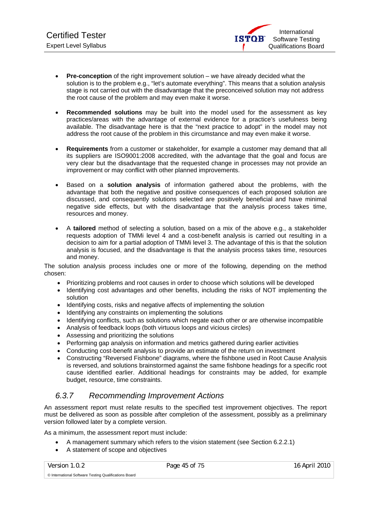- **Pre-conception** of the right improvement solution we have already decided what the solution is to the problem e.g., "let's automate everything". This means that a solution analysis stage is not carried out with the disadvantage that the preconceived solution may not address the root cause of the problem and may even make it worse.
- **Recommended solutions** may be built into the model used for the assessment as key practices/areas with the advantage of external evidence for a practice's usefulness being available. The disadvantage here is that the "next practice to adopt" in the model may not address the root cause of the problem in this circumstance and may even make it worse.
- **Requirements** from a customer or stakeholder, for example a customer may demand that all its suppliers are ISO9001:2008 accredited, with the advantage that the goal and focus are very clear but the disadvantage that the requested change in processes may not provide an improvement or may conflict with other planned improvements.
- Based on a **solution analysis** of information gathered about the problems, with the advantage that both the negative and positive consequences of each proposed solution are discussed, and consequently solutions selected are positively beneficial and have minimal negative side effects, but with the disadvantage that the analysis process takes time, resources and money.
- A **tailored** method of selecting a solution, based on a mix of the above e.g., a stakeholder requests adoption of TMMi level 4 and a cost-benefit analysis is carried out resulting in a decision to aim for a partial adoption of TMMi level 3. The advantage of this is that the solution analysis is focused, and the disadvantage is that the analysis process takes time, resources and money.

The solution analysis process includes one or more of the following, depending on the method chosen:

- Prioritizing problems and root causes in order to choose which solutions will be developed
- Identifying cost advantages and other benefits, including the risks of NOT implementing the solution
- Identifying costs, risks and negative affects of implementing the solution
- Identifying any constraints on implementing the solutions
- Identifying conflicts, such as solutions which negate each other or are otherwise incompatible
- Analysis of feedback loops (both virtuous loops and vicious circles)
- Assessing and prioritizing the solutions
- Performing gap analysis on information and metrics gathered during earlier activities
- Conducting cost-benefit analysis to provide an estimate of the return on investment
- Constructing "Reversed Fishbone" diagrams, where the fishbone used in Root Cause Analysis is reversed, and solutions brainstormed against the same fishbone headings for a specific root cause identified earlier. Additional headings for constraints may be added, for example budget, resource, time constraints.

# *6.3.7 Recommending Improvement Actions*

An assessment report must relate results to the specified test improvement objectives. The report must be delivered as soon as possible after completion of the assessment, possibly as a preliminary version followed later by a complete version.

As a minimum, the assessment report must include:

- A management summary which refers to the vision statement (see Section 6.2.2.1)
- A statement of scope and objectives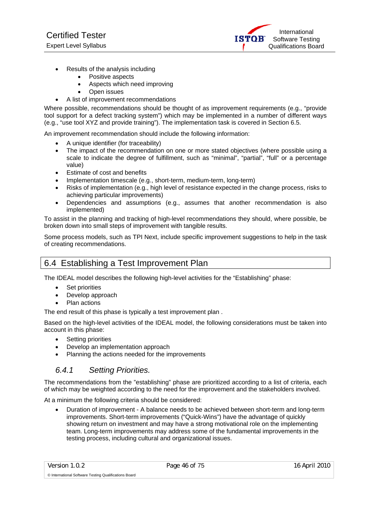International **ISTOR** Software Testing Qualifications Board

- Results of the analysis including
	- Positive aspects
	- Aspects which need improving
	- Open issues
- A list of improvement recommendations

Where possible, recommendations should be thought of as improvement requirements (e.g., "provide tool support for a defect tracking system") which may be implemented in a number of different ways (e.g., "use tool XYZ and provide training"). The implementation task is covered in Section 6.5.

An improvement recommendation should include the following information:

- A unique identifier (for traceability)
- The impact of the recommendation on one or more stated objectives (where possible using a scale to indicate the degree of fulfillment, such as "minimal", "partial", "full" or a percentage value)
- Estimate of cost and benefits
- Implementation timescale (e.g., short-term, medium-term, long-term)
- Risks of implementation (e.g., high level of resistance expected in the change process, risks to achieving particular improvements)
- Dependencies and assumptions (e.g., assumes that another recommendation is also implemented)

To assist in the planning and tracking of high-level recommendations they should, where possible, be broken down into small steps of improvement with tangible results.

Some process models, such as TPI Next, include specific improvement suggestions to help in the task of creating recommendations.

# 6.4 Establishing a Test Improvement Plan

The IDEAL model describes the following high-level activities for the "Establishing" phase:

- Set priorities
- Develop approach
- Plan actions

The end result of this phase is typically a test improvement plan .

Based on the high-level activities of the IDEAL model, the following considerations must be taken into account in this phase:

- Setting priorities
- Develop an implementation approach
- Planning the actions needed for the improvements

# *6.4.1 Setting Priorities.*

The recommendations from the "establishing" phase are prioritized according to a list of criteria, each of which may be weighted according to the need for the improvement and the stakeholders involved.

At a minimum the following criteria should be considered:

• Duration of improvement - A balance needs to be achieved between short-term and long-term improvements. Short-term improvements ("Quick-Wins") have the advantage of quickly showing return on investment and may have a strong motivational role on the implementing team. Long-term improvements may address some of the fundamental improvements in the testing process, including cultural and organizational issues.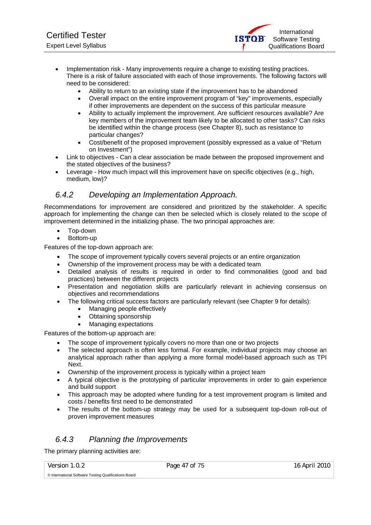- Implementation risk Many improvements require a change to existing testing practices. There is a risk of failure associated with each of those improvements. The following factors will need to be considered:
	- Ability to return to an existing state if the improvement has to be abandoned
	- Overall impact on the entire improvement program of "key" improvements, especially if other improvements are dependent on the success of this particular measure
	- Ability to actually implement the improvement. Are sufficient resources available? Are key members of the improvement team likely to be allocated to other tasks? Can risks be identified within the change process (see Chapter 8), such as resistance to particular changes?
	- Cost/benefit of the proposed improvement (possibly expressed as a value of "Return on Investment")
- Link to objectives Can a clear association be made between the proposed improvement and the stated objectives of the business?
- Leverage How much impact will this improvement have on specific objectives (e.g., high, medium, low)?

# *6.4.2 Developing an Implementation Approach.*

Recommendations for improvement are considered and prioritized by the stakeholder. A specific approach for implementing the change can then be selected which is closely related to the scope of improvement determined in the initializing phase. The two principal approaches are:

- Top-down
- Bottom-up

Features of the top-down approach are:

- The scope of improvement typically covers several projects or an entire organization
- Ownership of the improvement process may be with a dedicated team
- Detailed analysis of results is required in order to find commonalities (good and bad practices) between the different projects
- Presentation and negotiation skills are particularly relevant in achieving consensus on objectives and recommendations
- The following critical success factors are particularly relevant (see Chapter 9 for details):
	- Managing people effectively
	- Obtaining sponsorship
	- Managing expectations

Features of the bottom-up approach are:

- The scope of improvement typically covers no more than one or two projects
- The selected approach is often less formal. For example, individual projects may choose an analytical approach rather than applying a more formal model-based approach such as TPI Next.
- Ownership of the improvement process is typically within a project team
- A typical objective is the prototyping of particular improvements in order to gain experience and build support
- This approach may be adopted where funding for a test improvement program is limited and costs / benefits first need to be demonstrated
- The results of the bottom-up strategy may be used for a subsequent top-down roll-out of proven improvement measures

# *6.4.3 Planning the Improvements*

The primary planning activities are:

Version 1.0.2 Page 47 of 75 16 April 2010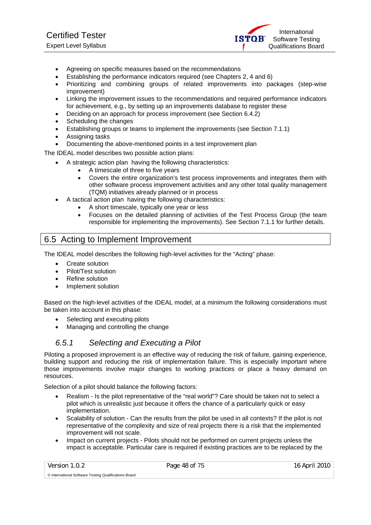- Agreeing on specific measures based on the recommendations
- Establishing the performance indicators required (see Chapters 2, 4 and 6)
- Prioritizing and combining groups of related improvements into packages (step-wise improvement)
- Linking the improvement issues to the recommendations and required performance indicators for achievement, e.g., by setting up an improvements database to register these
- Deciding on an approach for process improvement (see Section 6.4.2)
- Scheduling the changes
- Establishing groups or teams to implement the improvements (see Section 7.1.1)
- Assigning tasks
- Documenting the above-mentioned points in a test improvement plan

The IDEAL model describes two possible action plans:

- A strategic action plan having the following characteristics:
	- A timescale of three to five years
	- Covers the entire organization's test process improvements and integrates them with other software process improvement activities and any other total quality management (TQM) initiatives already planned or in process
- A tactical action plan having the following characteristics:
	- A short timescale, typically one year or less
	- Focuses on the detailed planning of activities of the Test Process Group (the team responsible for implementing the improvements). See Section 7.1.1 for further details.

# 6.5 Acting to Implement Improvement

The IDEAL model describes the following high-level activities for the "Acting" phase:

- Create solution
- Pilot/Test solution
- Refine solution
- Implement solution

Based on the high-level activities of the IDEAL model, at a minimum the following considerations must be taken into account in this phase:

- Selecting and executing pilots
- Managing and controlling the change

# *6.5.1 Selecting and Executing a Pilot*

Piloting a proposed improvement is an effective way of reducing the risk of failure, gaining experience, building support and reducing the risk of implementation failure. This is especially important where those improvements involve major changes to working practices or place a heavy demand on resources.

Selection of a pilot should balance the following factors:

- Realism Is the pilot representative of the "real world"? Care should be taken not to select a pilot which is unrealistic just because it offers the chance of a particularly quick or easy implementation.
- Scalability of solution Can the results from the pilot be used in all contexts? If the pilot is not representative of the complexity and size of real projects there is a risk that the implemented improvement will not scale.
- Impact on current projects Pilots should not be performed on current projects unless the impact is acceptable. Particular care is required if existing practices are to be replaced by the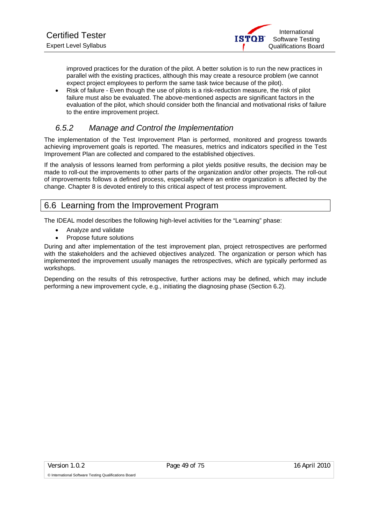improved practices for the duration of the pilot. A better solution is to run the new practices in parallel with the existing practices, although this may create a resource problem (we cannot expect project employees to perform the same task twice because of the pilot).

• Risk of failure - Even though the use of pilots is a risk-reduction measure, the risk of pilot failure must also be evaluated. The above-mentioned aspects are significant factors in the evaluation of the pilot, which should consider both the financial and motivational risks of failure to the entire improvement project.

# *6.5.2 Manage and Control the Implementation*

The implementation of the Test Improvement Plan is performed, monitored and progress towards achieving improvement goals is reported. The measures, metrics and indicators specified in the Test Improvement Plan are collected and compared to the established objectives.

If the analysis of lessons learned from performing a pilot yields positive results, the decision may be made to roll-out the improvements to other parts of the organization and/or other projects. The roll-out of improvements follows a defined process, especially where an entire organization is affected by the change. Chapter 8 is devoted entirely to this critical aspect of test process improvement.

# 6.6 Learning from the Improvement Program

The IDEAL model describes the following high-level activities for the "Learning" phase:

- Analyze and validate
- Propose future solutions

During and after implementation of the test improvement plan, project retrospectives are performed with the stakeholders and the achieved objectives analyzed. The organization or person which has implemented the improvement usually manages the retrospectives, which are typically performed as workshops.

Depending on the results of this retrospective, further actions may be defined, which may include performing a new improvement cycle, e.g., initiating the diagnosing phase (Section 6.2).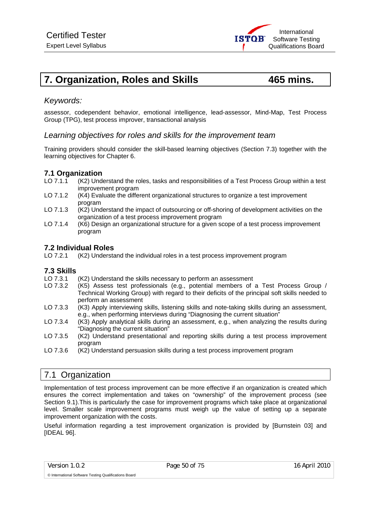

# **7. Organization, Roles and Skills 465 mins.**

assessor, codependent behavior, emotional intelligence, lead-assessor, Mind-Map, Test Process Group (TPG), test process improver, transactional analysis

### *Learning objectives for roles and skills for the improvement team*

Training providers should consider the skill-based learning objectives (Section 7.3) together with the learning objectives for Chapter 6.

# **7.1 Organization**<br>LO 7.1.1 (K2) Und

*Keywords:* 

- (K2) Understand the roles, tasks and responsibilities of a Test Process Group within a test improvement program
- LO 7.1.2 (K4) Evaluate the different organizational structures to organize a test improvement program
- LO 7.1.3 (K2) Understand the impact of outsourcing or off-shoring of development activities on the organization of a test process improvement program
- LO 7.1.4 (K6) Design an organizational structure for a given scope of a test process improvement program

### **7.2 Individual Roles**

LO 7.2.1 (K2) Understand the individual roles in a test process improvement program

#### **7.3 Skills**

- LO 7.3.1 (K2) Understand the skills necessary to perform an assessment<br>LO 7.3.2 (K5) Assess test professionals (e.g., potential members of
- $(K5)$  Assess test professionals (e.g., potential members of a Test Process Group / Technical Working Group) with regard to their deficits of the principal soft skills needed to perform an assessment
- LO 7.3.3 (K3) Apply interviewing skills, listening skills and note-taking skills during an assessment, e.g., when performing interviews during "Diagnosing the current situation"
- LO 7.3.4 (K3) Apply analytical skills during an assessment, e.g., when analyzing the results during "Diagnosing the current situation"
- LO 7.3.5 (K2) Understand presentational and reporting skills during a test process improvement program
- LO 7.3.6 (K2) Understand persuasion skills during a test process improvement program

# 7.1 Organization

Implementation of test process improvement can be more effective if an organization is created which ensures the correct implementation and takes on "ownership" of the improvement process (see Section 9.1).This is particularly the case for improvement programs which take place at organizational level. Smaller scale improvement programs must weigh up the value of setting up a separate improvement organization with the costs.

Useful information regarding a test improvement organization is provided by [Burnstein 03] and **IIDEAL 961.**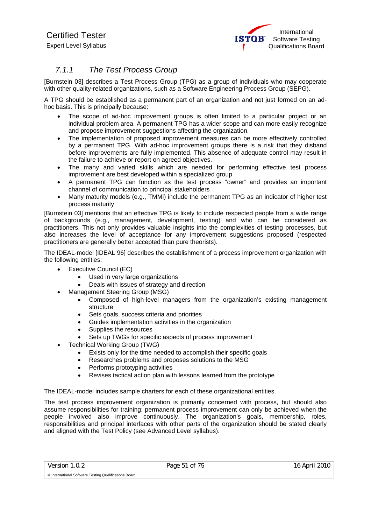# *7.1.1 The Test Process Group*

[Burnstein 03] describes a Test Process Group (TPG) as a group of individuals who may cooperate with other quality-related organizations, such as a Software Engineering Process Group (SEPG).

A TPG should be established as a permanent part of an organization and not just formed on an adhoc basis. This is principally because:

- The scope of ad-hoc improvement groups is often limited to a particular project or an individual problem area. A permanent TPG has a wider scope and can more easily recognize and propose improvement suggestions affecting the organization.
- The implementation of proposed improvement measures can be more effectively controlled by a permanent TPG. With ad-hoc improvement groups there is a risk that they disband before improvements are fully implemented. This absence of adequate control may result in the failure to achieve or report on agreed objectives.
- The many and varied skills which are needed for performing effective test process improvement are best developed within a specialized group
- A permanent TPG can function as the test process "owner" and provides an important channel of communication to principal stakeholders
- Many maturity models (e.g., TMMi) include the permanent TPG as an indicator of higher test process maturity

[Burnstein 03] mentions that an effective TPG is likely to include respected people from a wide range of backgrounds (e.g., management, development, testing) and who can be considered as practitioners. This not only provides valuable insights into the complexities of testing processes, but also increases the level of acceptance for any improvement suggestions proposed (respected practitioners are generally better accepted than pure theorists).

The IDEAL-model [IDEAL 96] describes the establishment of a process improvement organization with the following entities:

- Executive Council (EC)
	- Used in very large organizations
	- Deals with issues of strategy and direction
	- Management Steering Group (MSG)
		- Composed of high-level managers from the organization's existing management structure
		- Sets goals, success criteria and priorities
		- Guides implementation activities in the organization
		- Supplies the resources
		- Sets up TWGs for specific aspects of process improvement
- Technical Working Group (TWG)
	- Exists only for the time needed to accomplish their specific goals
	- Researches problems and proposes solutions to the MSG
	- Performs prototyping activities
	- Revises tactical action plan with lessons learned from the prototype

The IDEAL-model includes sample charters for each of these organizational entities.

The test process improvement organization is primarily concerned with process, but should also assume responsibilities for training; permanent process improvement can only be achieved when the people involved also improve continuously. The organization's goals, membership, roles, responsibilities and principal interfaces with other parts of the organization should be stated clearly and aligned with the Test Policy (see Advanced Level syllabus).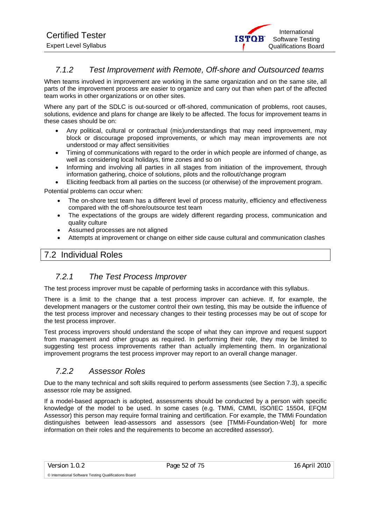

# *7.1.2 Test Improvement with Remote, Off-shore and Outsourced teams*

When teams involved in improvement are working in the same organization and on the same site, all parts of the improvement process are easier to organize and carry out than when part of the affected team works in other organizations or on other sites.

Where any part of the SDLC is out-sourced or off-shored, communication of problems, root causes, solutions, evidence and plans for change are likely to be affected. The focus for improvement teams in these cases should be on:

- Any political, cultural or contractual (mis)understandings that may need improvement, may block or discourage proposed improvements, or which may mean improvements are not understood or may affect sensitivities
- Timing of communications with regard to the order in which people are informed of change, as well as considering local holidays, time zones and so on
- Informing and involving all parties in all stages from initiation of the improvement, through information gathering, choice of solutions, pilots and the rollout/change program
- Eliciting feedback from all parties on the success (or otherwise) of the improvement program.

Potential problems can occur when:

- The on-shore test team has a different level of process maturity, efficiency and effectiveness compared with the off-shore/outsource test team
- The expectations of the groups are widely different regarding process, communication and quality culture
- Assumed processes are not aligned
- Attempts at improvement or change on either side cause cultural and communication clashes

# 7.2 Individual Roles

# *7.2.1 The Test Process Improver*

The test process improver must be capable of performing tasks in accordance with this syllabus.

There is a limit to the change that a test process improver can achieve. If, for example, the development managers or the customer control their own testing, this may be outside the influence of the test process improver and necessary changes to their testing processes may be out of scope for the test process improver.

Test process improvers should understand the scope of what they can improve and request support from management and other groups as required. In performing their role, they may be limited to suggesting test process improvements rather than actually implementing them. In organizational improvement programs the test process improver may report to an overall change manager.

# *7.2.2 Assessor Roles*

Due to the many technical and soft skills required to perform assessments (see Section 7.3), a specific assessor role may be assigned.

If a model-based approach is adopted, assessments should be conducted by a person with specific knowledge of the model to be used. In some cases (e.g. TMMi, CMMI, ISO/IEC 15504, EFQM Assessor) this person may require formal training and certification. For example, the TMMi Foundation distinguishes between lead-assessors and assessors (see [TMMi-Foundation-Web] for more information on their roles and the requirements to become an accredited assessor).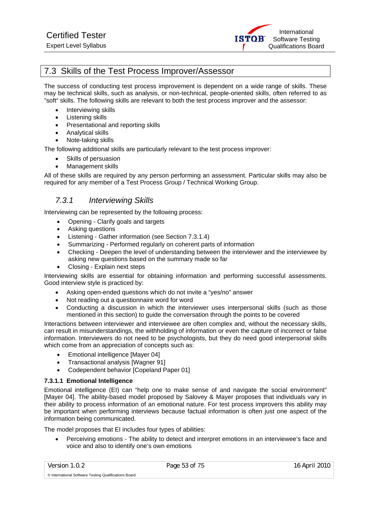

# 7.3 Skills of the Test Process Improver/Assessor

The success of conducting test process improvement is dependent on a wide range of skills. These may be technical skills, such as analysis, or non-technical, people-oriented skills, often referred to as "soft" skills. The following skills are relevant to both the test process improver and the assessor:

- Interviewing skills
- Listening skills
- Presentational and reporting skills
- Analytical skills
- Note-taking skills

The following additional skills are particularly relevant to the test process improver:

- Skills of persuasion
- Management skills

All of these skills are required by any person performing an assessment. Particular skills may also be required for any member of a Test Process Group / Technical Working Group.

# *7.3.1 Interviewing Skills*

Interviewing can be represented by the following process:

- Opening Clarify goals and targets
- Asking questions
- Listening Gather information (see Section 7.3.1.4)
- Summarizing Performed regularly on coherent parts of information
- Checking Deepen the level of understanding between the interviewer and the interviewee by asking new questions based on the summary made so far
- Closing Explain next steps

Interviewing skills are essential for obtaining information and performing successful assessments. Good interview style is practiced by:

- Asking open-ended questions which do not invite a "yes/no" answer
- Not reading out a questionnaire word for word
- Conducting a discussion in which the interviewer uses interpersonal skills (such as those mentioned in this section) to guide the conversation through the points to be covered

Interactions between interviewer and interviewee are often complex and, without the necessary skills, can result in misunderstandings, the withholding of information or even the capture of incorrect or false information. Interviewers do not need to be psychologists, but they do need good interpersonal skills which come from an appreciation of concepts such as:

- Emotional intelligence [Mayer 04]
- Transactional analysis [Wagner 91]
- Codependent behavior [Copeland Paper 01]

#### **7.3.1.1 Emotional Intelligence**

Emotional intelligence (EI) can "help one to make sense of and navigate the social environment" [Mayer 04]. The ability-based model proposed by Salovey & Mayer proposes that individuals vary in their ability to process information of an emotional nature. For test process improvers this ability may be important when performing interviews because factual information is often just one aspect of the information being communicated.

The model proposes that EI includes four types of abilities:

• Perceiving emotions - The ability to detect and interpret emotions in an interviewee's face and voice and also to identify one's own emotions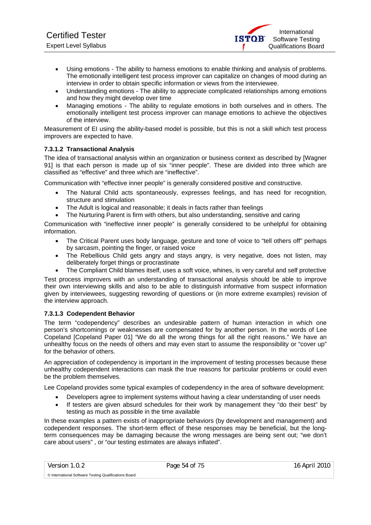- Using emotions The ability to harness emotions to enable thinking and analysis of problems. The emotionally intelligent test process improver can capitalize on changes of mood during an interview in order to obtain specific information or views from the interviewee.
- Understanding emotions The ability to appreciate complicated relationships among emotions and how they might develop over time
- Managing emotions The ability to regulate emotions in both ourselves and in others. The emotionally intelligent test process improver can manage emotions to achieve the objectives of the interview.

Measurement of EI using the ability-based model is possible, but this is not a skill which test process improvers are expected to have.

#### **7.3.1.2 Transactional Analysis**

The idea of transactional analysis within an organization or business context as described by [Wagner 91] is that each person is made up of six "inner people". These are divided into three which are classified as "effective" and three which are "ineffective".

Communication with "effective inner people" is generally considered positive and constructive.

- The Natural Child acts spontaneously, expresses feelings, and has need for recognition, structure and stimulation
- The Adult is logical and reasonable; it deals in facts rather than feelings
- The Nurturing Parent is firm with others, but also understanding, sensitive and caring

Communication with "ineffective inner people" is generally considered to be unhelpful for obtaining information.

- The Critical Parent uses body language, gesture and tone of voice to "tell others off" perhaps by sarcasm, pointing the finger, or raised voice
- The Rebellious Child gets angry and stays angry, is very negative, does not listen, may deliberately forget things or procrastinate
- The Compliant Child blames itself, uses a soft voice, whines, is very careful and self protective

Test process improvers with an understanding of transactional analysis should be able to improve their own interviewing skills and also to be able to distinguish informative from suspect information given by interviewees, suggesting rewording of questions or (in more extreme examples) revision of the interview approach.

#### **7.3.1.3 Codependent Behavior**

The term "codependency" describes an undesirable pattern of human interaction in which one person's shortcomings or weaknesses are compensated for by another person. In the words of Lee Copeland [Copeland Paper 01] "We do all the wrong things for all the right reasons." We have an unhealthy focus on the needs of others and may even start to assume the responsibility or "cover up" for the behavior of others.

An appreciation of codependency is important in the improvement of testing processes because these unhealthy codependent interactions can mask the true reasons for particular problems or could even be the problem themselves.

Lee Copeland provides some typical examples of codependency in the area of software development:

- Developers agree to implement systems without having a clear understanding of user needs
- If testers are given absurd schedules for their work by management they "do their best" by testing as much as possible in the time available

In these examples a pattern exists of inappropriate behaviors (by development and management) and codependent responses. The short-term effect of these responses may be beneficial, but the longterm consequences may be damaging because the wrong messages are being sent out; "we don't care about users" , or "our testing estimates are always inflated".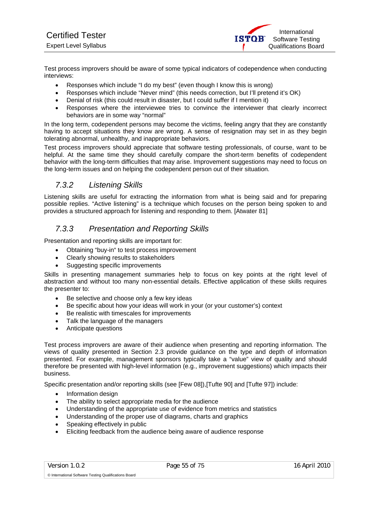Test process improvers should be aware of some typical indicators of codependence when conducting interviews:

- Responses which include "I do my best" (even though I know this is wrong)
- Responses which include "Never mind" (this needs correction, but I'll pretend it's OK)
- Denial of risk (this could result in disaster, but I could suffer if I mention it)
- Responses where the interviewee tries to convince the interviewer that clearly incorrect behaviors are in some way "normal"

In the long term, codependent persons may become the victims, feeling angry that they are constantly having to accept situations they know are wrong. A sense of resignation may set in as they begin tolerating abnormal, unhealthy, and inappropriate behaviors.

Test process improvers should appreciate that software testing professionals, of course, want to be helpful. At the same time they should carefully compare the short-term benefits of codependent behavior with the long-term difficulties that may arise. Improvement suggestions may need to focus on the long-term issues and on helping the codependent person out of their situation.

# *7.3.2 Listening Skills*

Listening skills are useful for extracting the information from what is being said and for preparing possible replies. "Active listening" is a technique which focuses on the person being spoken to and provides a structured approach for listening and responding to them. [Atwater 81]

# *7.3.3 Presentation and Reporting Skills*

Presentation and reporting skills are important for:

- Obtaining "buy-in" to test process improvement
- Clearly showing results to stakeholders
- Suggesting specific improvements

Skills in presenting management summaries help to focus on key points at the right level of abstraction and without too many non-essential details. Effective application of these skills requires the presenter to:

- Be selective and choose only a few key ideas
- Be specific about how your ideas will work in your (or your customer's) context
- Be realistic with timescales for improvements
- Talk the language of the managers
- Anticipate questions

Test process improvers are aware of their audience when presenting and reporting information. The views of quality presented in Section 2.3 provide guidance on the type and depth of information presented. For example, management sponsors typically take a "value" view of quality and should therefore be presented with high-level information (e.g., improvement suggestions) which impacts their business.

Specific presentation and/or reporting skills (see [Few 08]),[Tufte 90] and [Tufte 97]) include:

- Information design
- The ability to select appropriate media for the audience
- Understanding of the appropriate use of evidence from metrics and statistics
- Understanding of the proper use of diagrams, charts and graphics
- Speaking effectively in public
- Eliciting feedback from the audience being aware of audience response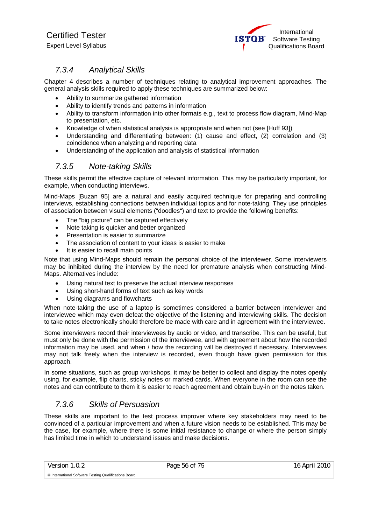# *7.3.4 Analytical Skills*

Chapter 4 describes a number of techniques relating to analytical improvement approaches. The general analysis skills required to apply these techniques are summarized below:

- Ability to summarize gathered information
- Ability to identify trends and patterns in information
- Ability to transform information into other formats e.g., text to process flow diagram, Mind-Map to presentation, etc.
- Knowledge of when statistical analysis is appropriate and when not (see [Huff 93])
- Understanding and differentiating between: (1) cause and effect, (2) correlation and (3) coincidence when analyzing and reporting data
- Understanding of the application and analysis of statistical information

# *7.3.5 Note-taking Skills*

These skills permit the effective capture of relevant information. This may be particularly important, for example, when conducting interviews.

Mind-Maps [Buzan 95] are a natural and easily acquired technique for preparing and controlling interviews, establishing connections between individual topics and for note-taking. They use principles of association between visual elements ("doodles") and text to provide the following benefits:

- The "big picture" can be captured effectively
- Note taking is quicker and better organized
- Presentation is easier to summarize
- The association of content to your ideas is easier to make
- It is easier to recall main points

Note that using Mind-Maps should remain the personal choice of the interviewer. Some interviewers may be inhibited during the interview by the need for premature analysis when constructing Mind-Maps. Alternatives include:

- Using natural text to preserve the actual interview responses
- Using short-hand forms of text such as key words
- Using diagrams and flowcharts

When note-taking the use of a laptop is sometimes considered a barrier between interviewer and interviewee which may even defeat the objective of the listening and interviewing skills. The decision to take notes electronically should therefore be made with care and in agreement with the interviewee.

Some interviewers record their interviewees by audio or video, and transcribe. This can be useful, but must only be done with the permission of the interviewee, and with agreement about how the recorded information may be used, and when / how the recording will be destroyed if necessary. Interviewees may not talk freely when the interview is recorded, even though have given permission for this approach.

In some situations, such as group workshops, it may be better to collect and display the notes openly using, for example, flip charts, sticky notes or marked cards. When everyone in the room can see the notes and can contribute to them it is easier to reach agreement and obtain buy-in on the notes taken.

# *7.3.6 Skills of Persuasion*

These skills are important to the test process improver where key stakeholders may need to be convinced of a particular improvement and when a future vision needs to be established. This may be the case, for example, where there is some initial resistance to change or where the person simply has limited time in which to understand issues and make decisions.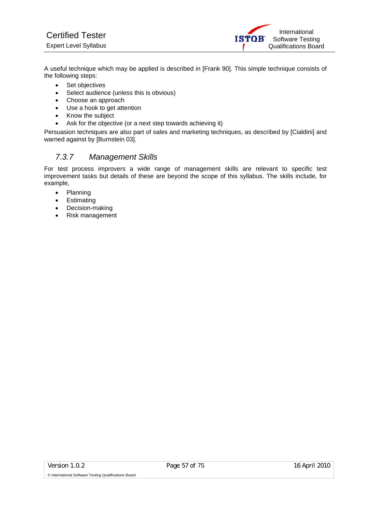A useful technique which may be applied is described in [Frank 90]. This simple technique consists of the following steps:

- Set objectives
- Select audience (unless this is obvious)
- Choose an approach
- Use a hook to get attention
- Know the subject
- Ask for the objective (or a next step towards achieving it)

Persuasion techniques are also part of sales and marketing techniques, as described by [Cialdini] and warned against by [Burnstein 03].

# *7.3.7 Management Skills*

For test process improvers a wide range of management skills are relevant to specific test improvement tasks but details of these are beyond the scope of this syllabus. The skills include, for example,

- Planning
- Estimating
- Decision-making
- Risk management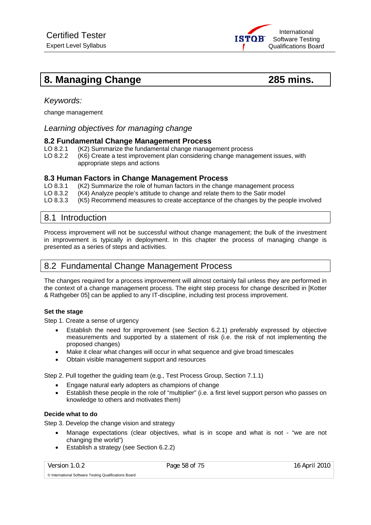

# **8. Managing Change 285 mins.**

# *Keywords:*

change management

### *Learning objectives for managing change*

#### **8.2 Fundamental Change Management Process**

- LO 8.2.1 (K2) Summarize the fundamental change management process
- LO 8.2.2 (K6) Create a test improvement plan considering change management issues, with appropriate steps and actions

#### **8.3 Human Factors in Change Management Process**

LO 8.3.1 (K2) Summarize the role of human factors in the change management process LO 8.3.2 (K4) Analyze people's attitude to change and relate them to the Satir model LO 8.3.3 (K5) Recommend measures to create acceptance of the changes by the people involved

# 8.1 Introduction

Process improvement will not be successful without change management; the bulk of the investment in improvement is typically in deployment. In this chapter the process of managing change is presented as a series of steps and activities.

# 8.2 Fundamental Change Management Process

The changes required for a process improvement will almost certainly fail unless they are performed in the context of a change management process. The eight step process for change described in [Kotter & Rathgeber 05] can be applied to any IT-discipline, including test process improvement.

#### **Set the stage**

Step 1. Create a sense of urgency

- Establish the need for improvement (see Section 6.2.1) preferably expressed by objective measurements and supported by a statement of risk (i.e. the risk of not implementing the proposed changes)
- Make it clear what changes will occur in what sequence and give broad timescales
- Obtain visible management support and resources

Step 2. Pull together the guiding team (e.g., Test Process Group, Section 7.1.1)

- Engage natural early adopters as champions of change
- Establish these people in the role of "multiplier" (i.e. a first level support person who passes on knowledge to others and motivates them)

#### **Decide what to do**

Step 3. Develop the change vision and strategy

- Manage expectations (clear objectives, what is in scope and what is not "we are not changing the world")
- Establish a strategy (see Section 6.2.2)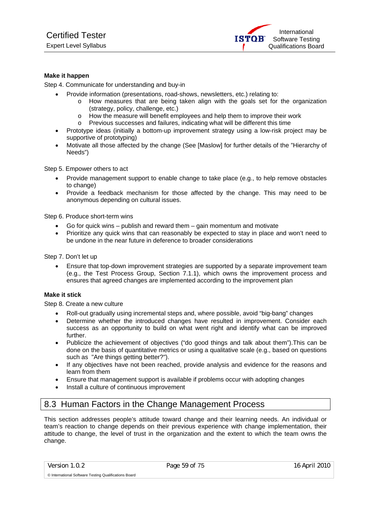International **ISTOR** Software Testing Qualifications Board

#### **Make it happen**

Step 4. Communicate for understanding and buy-in

- Provide information (presentations, road-shows, newsletters, etc.) relating to:
	- $\circ$  How measures that are being taken align with the goals set for the organization (strategy, policy, challenge, etc.)
	- o How the measure will benefit employees and help them to improve their work
	- o Previous successes and failures, indicating what will be different this time
- Prototype ideas (initially a bottom-up improvement strategy using a low-risk project may be supportive of prototyping)
- Motivate all those affected by the change (See [Maslow] for further details of the "Hierarchy of Needs")

Step 5. Empower others to act

- Provide management support to enable change to take place (e.g., to help remove obstacles to change)
- Provide a feedback mechanism for those affected by the change. This may need to be anonymous depending on cultural issues.

Step 6. Produce short-term wins

- Go for quick wins publish and reward them gain momentum and motivate
- Prioritize any quick wins that can reasonably be expected to stay in place and won't need to be undone in the near future in deference to broader considerations

Step 7. Don't let up

• Ensure that top-down improvement strategies are supported by a separate improvement team (e.g., the Test Process Group, Section 7.1.1), which owns the improvement process and ensures that agreed changes are implemented according to the improvement plan

#### **Make it stick**

Step 8. Create a new culture

- Roll-out gradually using incremental steps and, where possible, avoid "big-bang" changes
- Determine whether the introduced changes have resulted in improvement. Consider each success as an opportunity to build on what went right and identify what can be improved further.
- Publicize the achievement of objectives ("do good things and talk about them").This can be done on the basis of quantitative metrics or using a qualitative scale (e.g., based on questions such as "Are things getting better?").
- If any objectives have not been reached, provide analysis and evidence for the reasons and learn from them
- Ensure that management support is available if problems occur with adopting changes
- Install a culture of continuous improvement

# 8.3 Human Factors in the Change Management Process

This section addresses people's attitude toward change and their learning needs. An individual or team's reaction to change depends on their previous experience with change implementation, their attitude to change, the level of trust in the organization and the extent to which the team owns the change.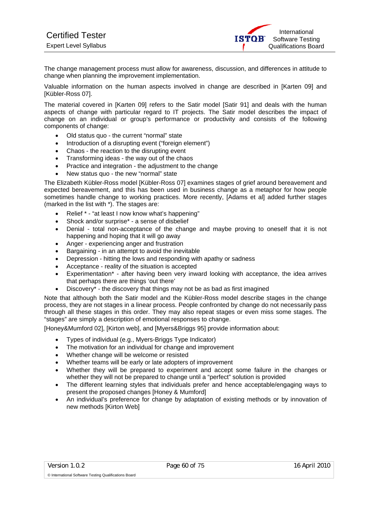The change management process must allow for awareness, discussion, and differences in attitude to change when planning the improvement implementation.

Valuable information on the human aspects involved in change are described in [Karten 09] and [Kübler-Ross 07].

The material covered in [Karten 09] refers to the Satir model [Satir 91] and deals with the human aspects of change with particular regard to IT projects. The Satir model describes the impact of change on an individual or group's performance or productivity and consists of the following components of change:

- Old status quo the current "normal" state
- Introduction of a disrupting event ("foreign element")
- Chaos the reaction to the disrupting event
- Transforming ideas the way out of the chaos
- Practice and integration the adjustment to the change
- New status quo the new "normal" state

The Elizabeth Kübler-Ross model [Kübler-Ross 07] examines stages of grief around bereavement and expected bereavement, and this has been used in business change as a metaphor for how people sometimes handle change to working practices. More recently, [Adams et al] added further stages (marked in the list with \*). The stages are:

- Relief \* "at least I now know what's happening"
- Shock and/or surprise\* a sense of disbelief
- Denial total non-acceptance of the change and maybe proving to oneself that it is not happening and hoping that it will go away
- Anger experiencing anger and frustration
- Bargaining in an attempt to avoid the inevitable
- Depression hitting the lows and responding with apathy or sadness
- Acceptance reality of the situation is accepted
- Experimentation\* after having been very inward looking with acceptance, the idea arrives that perhaps there are things 'out there'
- Discovery\* the discovery that things may not be as bad as first imagined

Note that although both the Satir model and the Kübler-Ross model describe stages in the change process, they are not stages in a linear process. People confronted by change do not necessarily pass through all these stages in this order. They may also repeat stages or even miss some stages. The "stages" are simply a description of emotional responses to change.

[Honey&Mumford 02], [Kirton web], and [Myers&Briggs 95] provide information about:

- Types of individual (e.g., Myers-Briggs Type Indicator)
- The motivation for an individual for change and improvement
- Whether change will be welcome or resisted
- Whether teams will be early or late adopters of improvement
- Whether they will be prepared to experiment and accept some failure in the changes or whether they will not be prepared to change until a "perfect" solution is provided
- The different learning styles that individuals prefer and hence acceptable/engaging ways to present the proposed changes [Honey & Mumford]
- An individual's preference for change by adaptation of existing methods or by innovation of new methods [Kirton Web]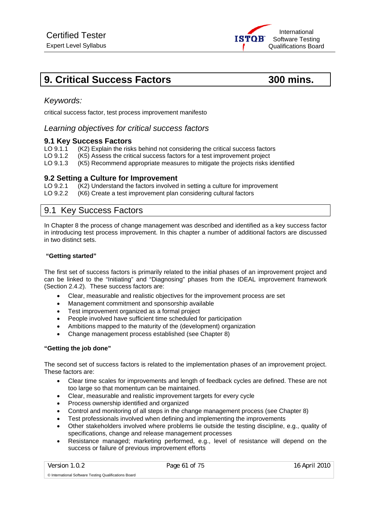# **9. Critical Success Factors 600 mins. 300 mins.**

# *Keywords:*

critical success factor, test process improvement manifesto

### *Learning objectives for critical success factors*

#### **9.1 Key Success Factors**

- LO 9.1.1 (K2) Explain the risks behind not considering the critical success factors
- LO 9.1.2 (K5) Assess the critical success factors for a test improvement project
- LO 9.1.3 (K5) Recommend appropriate measures to mitigate the projects risks identified

#### **9.2 Setting a Culture for Improvement**

LO 9.2.1 (K2) Understand the factors involved in setting a culture for improvement

LO 9.2.2 (K6) Create a test improvement plan considering cultural factors

# 9.1 Key Success Factors

In Chapter 8 the process of change management was described and identified as a key success factor in introducing test process improvement. In this chapter a number of additional factors are discussed in two distinct sets.

#### **"Getting started"**

The first set of success factors is primarily related to the initial phases of an improvement project and can be linked to the "Initiating" and "Diagnosing" phases from the IDEAL improvement framework (Section 2.4.2). These success factors are:

- Clear, measurable and realistic objectives for the improvement process are set
- Management commitment and sponsorship available
- Test improvement organized as a formal project
- People involved have sufficient time scheduled for participation
- Ambitions mapped to the maturity of the (development) organization
- Change management process established (see Chapter 8)

#### **"Getting the job done"**

The second set of success factors is related to the implementation phases of an improvement project. These factors are:

- Clear time scales for improvements and length of feedback cycles are defined. These are not too large so that momentum can be maintained.
- Clear, measurable and realistic improvement targets for every cycle
- Process ownership identified and organized
- Control and monitoring of all steps in the change management process (see Chapter 8)
- Test professionals involved when defining and implementing the improvements
- Other stakeholders involved where problems lie outside the testing discipline, e.g., quality of specifications, change and release management processes
- Resistance managed; marketing performed, e.g., level of resistance will depend on the success or failure of previous improvement efforts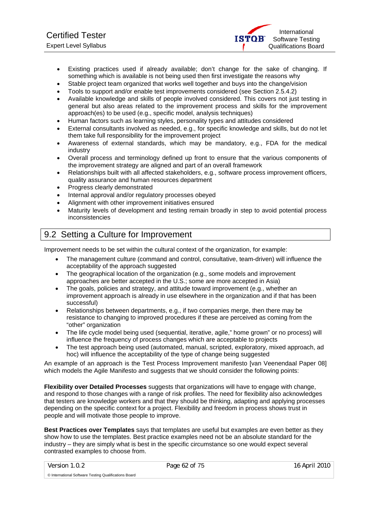- Existing practices used if already available; don't change for the sake of changing. If something which is available is not being used then first investigate the reasons why
- Stable project team organized that works well together and buys into the change/vision
- Tools to support and/or enable test improvements considered (see Section 2.5.4.2)
- Available knowledge and skills of people involved considered. This covers not just testing in general but also areas related to the improvement process and skills for the improvement approach(es) to be used (e.g., specific model, analysis techniques)
- Human factors such as learning styles, personality types and attitudes considered
- External consultants involved as needed, e.g., for specific knowledge and skills, but do not let them take full responsibility for the improvement project
- Awareness of external standards, which may be mandatory, e.g., FDA for the medical industry
- Overall process and terminology defined up front to ensure that the various components of the improvement strategy are aligned and part of an overall framework
- Relationships built with all affected stakeholders, e.g., software process improvement officers, quality assurance and human resources department
- Progress clearly demonstrated
- Internal approval and/or regulatory processes obeyed
- Alignment with other improvement initiatives ensured
- Maturity levels of development and testing remain broadly in step to avoid potential process inconsistencies

# 9.2 Setting a Culture for Improvement

Improvement needs to be set within the cultural context of the organization, for example:

- The management culture (command and control, consultative, team-driven) will influence the acceptability of the approach suggested
- The geographical location of the organization (e.g., some models and improvement approaches are better accepted in the U.S.; some are more accepted in Asia)
- The goals, policies and strategy, and attitude toward improvement (e.g., whether an improvement approach is already in use elsewhere in the organization and if that has been successful)
- Relationships between departments, e.g., if two companies merge, then there may be resistance to changing to improved procedures if these are perceived as coming from the "other" organization
- The life cycle model being used (sequential, iterative, agile," home grown" or no process) will influence the frequency of process changes which are acceptable to projects
- The test approach being used (automated, manual, scripted, exploratory, mixed approach, ad hoc) will influence the acceptability of the type of change being suggested

An example of an approach is the Test Process Improvement manifesto [van Veenendaal Paper 08] which models the Agile Manifesto and suggests that we should consider the following points:

**Flexibility over Detailed Processes** suggests that organizations will have to engage with change, and respond to those changes with a range of risk profiles. The need for flexibility also acknowledges that testers are knowledge workers and that they should be thinking, adapting and applying processes depending on the specific context for a project. Flexibility and freedom in process shows trust in people and will motivate those people to improve.

**Best Practices over Templates** says that templates are useful but examples are even better as they show how to use the templates. Best practice examples need not be an absolute standard for the industry – they are simply what is best in the specific circumstance so one would expect several contrasted examples to choose from.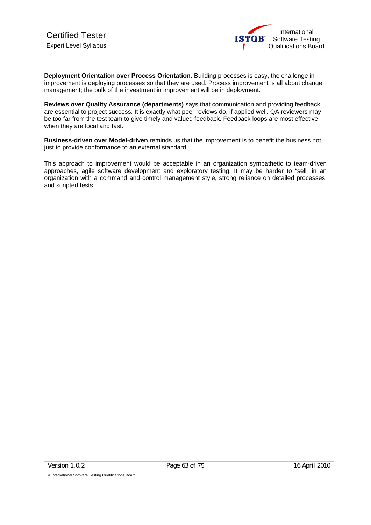**Deployment Orientation over Process Orientation.** Building processes is easy, the challenge in improvement is deploying processes so that they are used. Process improvement is all about change management; the bulk of the investment in improvement will be in deployment.

**Reviews over Quality Assurance (departments)** says that communication and providing feedback are essential to project success. It is exactly what peer reviews do, if applied well. QA reviewers may be too far from the test team to give timely and valued feedback. Feedback loops are most effective when they are local and fast.

**Business-driven over Model-driven** reminds us that the improvement is to benefit the business not just to provide conformance to an external standard.

This approach to improvement would be acceptable in an organization sympathetic to team-driven approaches, agile software development and exploratory testing. It may be harder to "sell" in an organization with a command and control management style, strong reliance on detailed processes, and scripted tests.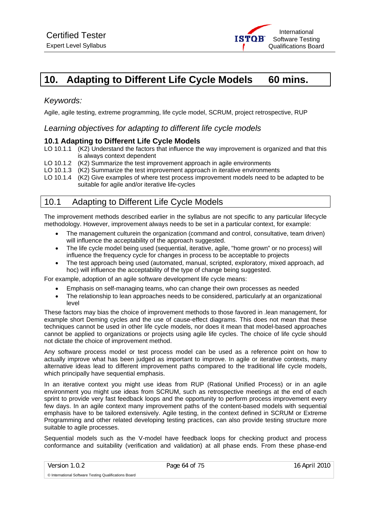

# **10. Adapting to Different Life Cycle Models 60 mins.**

# *Keywords:*

Agile, agile testing, extreme programming, life cycle model, SCRUM, project retrospective, RUP

### *Learning objectives for adapting to different life cycle models*

#### **10.1 Adapting to Different Life Cycle Models**

- LO 10.1.1 (K2) Understand the factors that influence the way improvement is organized and that this is always context dependent
- LO 10.1.2 (K2) Summarize the test improvement approach in agile environments
- LO 10.1.3 (K2) Summarize the test improvement approach in iterative environments
- LO 10.1.4 (K2) Give examples of where test process improvement models need to be adapted to be suitable for agile and/or iterative life-cycles

# 10.1 Adapting to Different Life Cycle Models

The improvement methods described earlier in the syllabus are not specific to any particular lifecycle methodology. However, improvement always needs to be set in a particular context, for example:

- The management culturein the organization (command and control, consultative, team driven) will influence the acceptability of the approach suggested.
- The life cycle model being used (sequential, iterative, agile, "home grown" or no process) will influence the frequency cycle for changes in process to be acceptable to projects
- The test approach being used (automated, manual, scripted, exploratory, mixed approach, ad hoc) will influence the acceptability of the type of change being suggested.

For example, adoption of an agile software development life cycle means:

- Emphasis on self-managing teams, who can change their own processes as needed
- The relationship to lean approaches needs to be considered, particularly at an organizational level

These factors may bias the choice of improvement methods to those favored in .lean management, for example short Deming cycles and the use of cause-effect diagrams. This does not mean that these techniques cannot be used in other life cycle models, nor does it mean that model-based approaches cannot be applied to organizations or projects using agile life cycles. The choice of life cycle should not dictate the choice of improvement method.

Any software process model or test process model can be used as a reference point on how to actually improve what has been judged as important to improve. In agile or iterative contexts, many alternative ideas lead to different improvement paths compared to the traditional life cycle models, which principally have sequential emphasis.

In an iterative context you might use ideas from RUP (Rational Unified Process) or in an agile environment you might use ideas from SCRUM, such as retrospective meetings at the end of each sprint to provide very fast feedback loops and the opportunity to perform process improvement every few days. In an agile context many improvement paths of the content-based models with sequential emphasis have to be tailored extensively. Agile testing, in the context defined in SCRUM or Extreme Programming and other related developing testing practices, can also provide testing structure more suitable to agile processes.

Sequential models such as the V-model have feedback loops for checking product and process conformance and suitability (verification and validation) at all phase ends. From these phase-end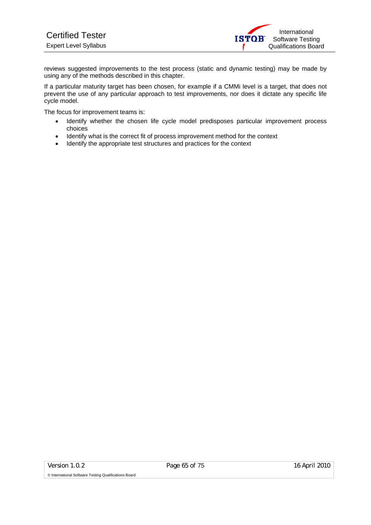reviews suggested improvements to the test process (static and dynamic testing) may be made by using any of the methods described in this chapter.

If a particular maturity target has been chosen, for example if a CMMi level is a target, that does not prevent the use of any particular approach to test improvements, nor does it dictate any specific life cycle model.

The focus for improvement teams is:

- Identify whether the chosen life cycle model predisposes particular improvement process choices
- Identify what is the correct fit of process improvement method for the context
- Identify the appropriate test structures and practices for the context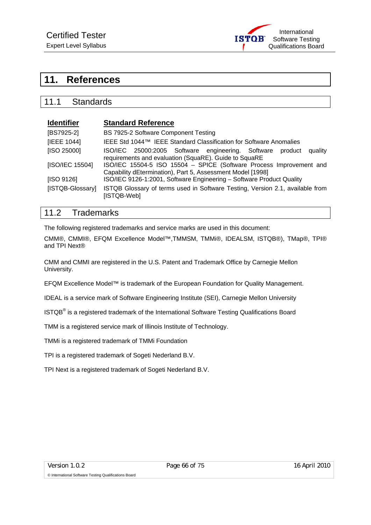

# **11. References**

# 11.1 Standards

| <b>Identifier</b> | <b>Standard Reference</b>                                                                                                         |  |
|-------------------|-----------------------------------------------------------------------------------------------------------------------------------|--|
| [BS7925-2]        | BS 7925-2 Software Component Testing                                                                                              |  |
| [IEEE 1044]       | IEEE Std 1044™ IEEE Standard Classification for Software Anomalies                                                                |  |
| [ISO 25000]       | ISO/IEC 25000:2005 Software engineering. Software product<br>quality<br>requirements and evaluation (SquaRE). Guide to SquaRE     |  |
| [ISO/IEC 15504]   | ISO/IEC 15504-5 ISO 15504 - SPICE (Software Process Improvement and<br>Capability dEtermination), Part 5, Assessment Model [1998] |  |
| [ISO 9126]        | ISO/IEC 9126-1:2001, Software Engineering - Software Product Quality                                                              |  |
| [ISTQB-Glossary]  | ISTQB Glossary of terms used in Software Testing, Version 2.1, available from<br>[ISTQB-Web]                                      |  |

# 11.2 Trademarks

The following registered trademarks and service marks are used in this document:

CMM®, CMMI®, EFQM Excellence Model™,TMMSM, TMMi®, IDEALSM, ISTQB®), TMap®, TPI® and TPI Next®

CMM and CMMI are registered in the U.S. Patent and Trademark Office by Carnegie Mellon University.

EFQM Excellence Model™ is trademark of the European Foundation for Quality Management.

IDEAL is a service mark of Software Engineering Institute (SEI), Carnegie Mellon University

ISTQB<sup>®</sup> is a registered trademark of the International Software Testing Qualifications Board

TMM is a registered service mark of Illinois Institute of Technology.

TMMi is a registered trademark of TMMi Foundation

TPI is a registered trademark of Sogeti Nederland B.V.

TPI Next is a registered trademark of Sogeti Nederland B.V.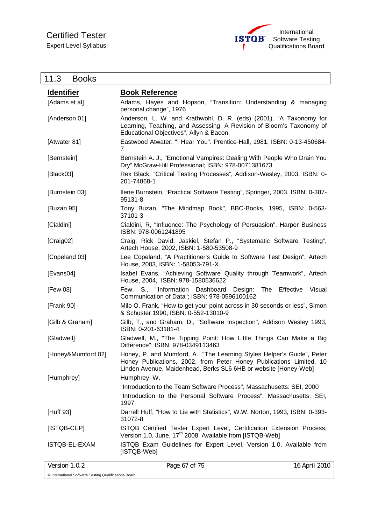

|  |  | 11.3 |  | <b>Books</b> |  |
|--|--|------|--|--------------|--|
|--|--|------|--|--------------|--|

| <b>Identifier</b>  | <b>Book Reference</b>                                                                                                                                                                                            |                     |
|--------------------|------------------------------------------------------------------------------------------------------------------------------------------------------------------------------------------------------------------|---------------------|
| [Adams et al]      | Adams, Hayes and Hopson, "Transition: Understanding & managing<br>personal change", 1976                                                                                                                         |                     |
| [Anderson 01]      | Anderson, L. W. and Krathwohl, D. R. (eds) (2001). "A Taxonomy for<br>Learning, Teaching, and Assessing: A Revision of Bloom's Taxonomy of<br>Educational Objectives", Allyn & Bacon.                            |                     |
| [Atwater 81]       | Eastwood Atwater, "I Hear You". Prentice-Hall, 1981, ISBN: 0-13-450684-<br>7                                                                                                                                     |                     |
| [Bernstein]        | Bernstein A. J., "Emotional Vampires: Dealing With People Who Drain You<br>Dry" McGraw-Hill Professional; ISBN: 978-0071381673                                                                                   |                     |
| [Black03]          | Rex Black, "Critical Testing Processes", Addison-Wesley, 2003, ISBN: 0-<br>201-74868-1                                                                                                                           |                     |
| [Burnstein 03]     | Ilene Burnstein, "Practical Software Testing", Springer, 2003, ISBN: 0-387-<br>95131-8                                                                                                                           |                     |
| [Buzan 95]         | Tony Buzan, "The Mindmap Book", BBC-Books, 1995, ISBN: 0-563-<br>37101-3                                                                                                                                         |                     |
| [Cialdini]         | Cialdini, R, "Influence: The Psychology of Persuasion", Harper Business<br>ISBN: 978-0061241895                                                                                                                  |                     |
| [Craig02]          | Craig, Rick David; Jaskiel, Stefan P., "Systematic Software Testing",<br>Artech House, 2002, ISBN: 1-580-53508-9                                                                                                 |                     |
| [Copeland 03]      | Lee Copeland, "A Practitioner's Guide to Software Test Design", Artech<br>House, 2003, ISBN: 1-58053-791-X                                                                                                       |                     |
| [Evans04]          | Isabel Evans, "Achieving Software Quality through Teamwork", Artech<br>House, 2004, ISBN: 978-1580536622                                                                                                         |                     |
| [Few 08]           | Few, S., "Information Dashboard Design:<br>The<br>Communication of Data"; ISBN: 978-0596100162                                                                                                                   | Effective<br>Visual |
| [Frank 90]         | Milo O. Frank, "How to get your point across in 30 seconds or less", Simon<br>& Schuster 1990, ISBN: 0-552-13010-9                                                                                               |                     |
| [Gilb & Graham]    | Gilb, T., and Graham, D., "Software Inspection", Addison Wesley 1993,<br>ISBN: 0-201-63181-4                                                                                                                     |                     |
| [Gladwell]         | Gladwell, M., "The Tipping Point: How Little Things Can Make a Big<br>Difference"; ISBN: 978-0349113463                                                                                                          |                     |
| [Honey&Mumford 02] | Honey, P. and Mumford, A., "The Learning Styles Helper's Guide", Peter<br>Honey Publications, 2002, from Peter Honey Publications Limited, 10<br>Linden Avenue, Maidenhead, Berks SL6 6HB or website [Honey-Web] |                     |
| [Humphrey]         | Humphrey, W.                                                                                                                                                                                                     |                     |
|                    | "Introduction to the Team Software Process", Massachusetts: SEI, 2000                                                                                                                                            |                     |
|                    | "Introduction to the Personal Software Process", Massachusetts: SEI,<br>1997                                                                                                                                     |                     |
| [Huff 93]          | Darrell Huff, "How to Lie with Statistics", W.W. Norton, 1993, ISBN: 0-393-<br>31072-8                                                                                                                           |                     |
| [ISTQB-CEP]        | ISTQB Certified Tester Expert Level, Certification Extension Process,<br>Version 1.0, June, 17 <sup>th</sup> 2008. Available from [ISTQB-Web]                                                                    |                     |
| ISTQB-EL-EXAM      | ISTQB Exam Guidelines for Expert Level, Version 1.0, Available from<br>[ISTQB-Web]                                                                                                                               |                     |
| Version 1.0.2      | Page 67 of 75                                                                                                                                                                                                    | 16 April 2010       |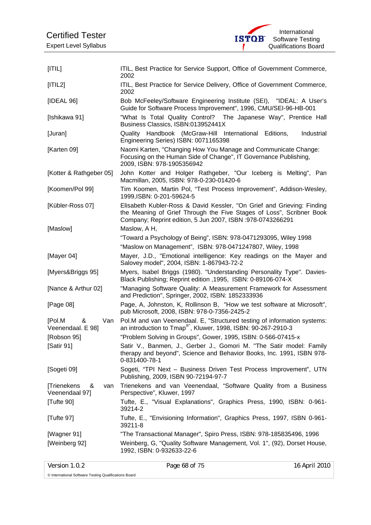

| [ T L]                                                 | ITIL, Best Practice for Service Support, Office of Government Commerce,<br>2002                                                                                                                              |
|--------------------------------------------------------|--------------------------------------------------------------------------------------------------------------------------------------------------------------------------------------------------------------|
| [ T L2]                                                | ITIL, Best Practice for Service Delivery, Office of Government Commerce,<br>2002                                                                                                                             |
| [IDEAL 96]                                             | Bob McFeeley/Software Engineering Institute (SEI), "IDEAL: A User's<br>Guide for Software Process Improvement", 1996, CMU/SEI-96-HB-001                                                                      |
| [Ishikawa 91]                                          | "What Is Total Quality Control? The Japanese Way", Prentice Hall<br>Business Classics, ISBN:013952441X                                                                                                       |
| [Juran]                                                | Quality Handbook (McGraw-Hill International Editions,<br>Industrial<br>Engineering Series) ISBN: 0071165398                                                                                                  |
| [Karten 09]                                            | Naomi Karten, "Changing How You Manage and Communicate Change:<br>Focusing on the Human Side of Change", IT Governance Publishing,<br>2009, ISBN: 978-1905356942                                             |
| [Kotter & Rathgeber 05]                                | John Kotter and Holger Rathgeber, "Our Iceberg is Melting", Pan<br>Macmillan, 2005, ISBN: 978-0-230-01420-6                                                                                                  |
| [Koomen/Pol 99]                                        | Tim Koomen, Martin Pol, "Test Process Improvement", Addison-Wesley,<br>1999, ISBN: 0-201-59624-5                                                                                                             |
| [Kübler-Ross 07]                                       | Elisabeth Kubler-Ross & David Kessler, "On Grief and Grieving: Finding<br>the Meaning of Grief Through the Five Stages of Loss", Scribner Book<br>Company; Reprint edition, 5 Jun 2007, ISBN :978-0743266291 |
| [Maslow]                                               | Maslow, A H,                                                                                                                                                                                                 |
|                                                        | "Toward a Psychology of Being", ISBN: 978-0471293095, Wiley 1998                                                                                                                                             |
|                                                        | "Maslow on Management", ISBN: 978-0471247807, Wiley, 1998                                                                                                                                                    |
| [Mayer 04]                                             | Mayer, J.D., "Emotional intelligence: Key readings on the Mayer and<br>Salovey model", 2004, ISBN: 1-867943-72-2                                                                                             |
| [Myers&Briggs 95]                                      | Myers, Isabel Briggs (1980). "Understanding Personality Type". Davies-<br>Black Publishing; Reprint edition , 1995, ISBN: 0-89106-074-X                                                                      |
| [Nance & Arthur 02]                                    | "Managing Software Quality: A Measurement Framework for Assessment<br>and Prediction", Springer, 2002, ISBN: 1852333936                                                                                      |
| [Page 08]                                              | Page, A, Johnston, K, Rollinson B, "How we test software at Microsoft",<br>pub Microsoft, 2008, ISBN: 978-0-7356-2425-2                                                                                      |
| [Pol.M<br>&<br>Van<br>Veenendaal. E 98]<br>[Robson 95] | Pol.M and van Veenendaal. E, "Structured testing of information systems:<br>an introduction to Tmap®", Kluwer, 1998, ISBN: 90-267-2910-3<br>"Problem Solving in Groups", Gower, 1995, ISBN: 0-566-07415-x    |
| [Satir 91]                                             | Satir V., Banmen, J., Gerber J., Gomori M. "The Satir model: Family                                                                                                                                          |
|                                                        | therapy and beyond", Science and Behavior Books, Inc. 1991, ISBN 978-<br>0-831400-78-1                                                                                                                       |
| [Sogeti 09]                                            | Sogeti, "TPI Next - Business Driven Test Process Improvement", UTN<br>Publishing, 2009, ISBN 90-72194-97-7                                                                                                   |
| [Trienekens<br>&<br>van<br>Veenendaal 97]              | Trienekens and van Veenendaal, "Software Quality from a Business<br>Perspective", Kluwer, 1997                                                                                                               |
| [Tufte 90]                                             | Tufte, E., "Visual Explanations", Graphics Press, 1990, ISBN: 0-961-<br>39214-2                                                                                                                              |
| [Tufte 97]                                             | Tufte, E., "Envisioning Information", Graphics Press, 1997, ISBN 0-961-<br>39211-8                                                                                                                           |
| [Wagner 91]                                            | "The Transactional Manager", Spiro Press, ISBN: 978-185835496, 1996                                                                                                                                          |
| [Weinberg 92]                                          | Weinberg, G, "Quality Software Management, Vol. 1", (92), Dorset House,<br>1992, ISBN: 0-932633-22-6                                                                                                         |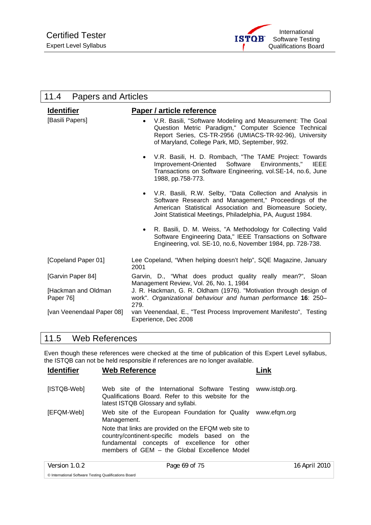

| 11.4<br><b>Papers and Articles</b> |                                                                                                                                                                                                                                                           |
|------------------------------------|-----------------------------------------------------------------------------------------------------------------------------------------------------------------------------------------------------------------------------------------------------------|
| <b>Identifier</b>                  | Paper / article reference                                                                                                                                                                                                                                 |
| [Basili Papers]                    | V.R. Basili, "Software Modeling and Measurement: The Goal<br>$\bullet$<br>Question Metric Paradigm," Computer Science Technical<br>Report Series, CS-TR-2956 (UMIACS-TR-92-96), University<br>of Maryland, College Park, MD, September, 992.              |
|                                    | V.R. Basili, H. D. Rombach, "The TAME Project: Towards<br>$\bullet$<br>Software<br>Environments,"<br>Improvement-Oriented<br><b>IEEE</b><br>Transactions on Software Engineering, vol.SE-14, no.6, June<br>1988, pp.758-773.                              |
|                                    | V.R. Basili, R.W. Selby, "Data Collection and Analysis in<br>$\bullet$<br>Software Research and Management," Proceedings of the<br>American Statistical Association and Biomeasure Society,<br>Joint Statistical Meetings, Philadelphia, PA, August 1984. |
|                                    | R. Basili, D. M. Weiss, "A Methodology for Collecting Valid<br>$\bullet$<br>Software Engineering Data," IEEE Transactions on Software<br>Engineering, vol. SE-10, no.6, November 1984, pp. 728-738.                                                       |
| [Copeland Paper 01]                | Lee Copeland, "When helping doesn't help", SQE Magazine, January<br>2001                                                                                                                                                                                  |
| [Garvin Paper 84]                  | Garvin, D., "What does product quality really mean?", Sloan<br>Management Review, Vol. 26, No. 1, 1984                                                                                                                                                    |
| [Hackman and Oldman<br>Paper 76]   | J. R. Hackman, G. R. Oldham (1976). "Motivation through design of<br>work". Organizational behaviour and human performance 16: 250-<br>279.                                                                                                               |
| [van Veenendaal Paper 08]          | van Veenendaal, E., "Test Process Improvement Manifesto", Testing<br>Experience, Dec 2008                                                                                                                                                                 |

# 11.5 Web References

Even though these references were checked at the time of publication of this Expert Level syllabus, the ISTQB can not be held responsible if references are no longer available.

| <b>Identifier</b> | <b>Web Reference</b>                                                                                                                                                                                   | Link           |
|-------------------|--------------------------------------------------------------------------------------------------------------------------------------------------------------------------------------------------------|----------------|
| [ISTQB-Web]       | Web site of the International Software Testing<br>Qualifications Board. Refer to this website for the<br>latest ISTQB Glossary and syllabi.                                                            | www.istgb.org. |
| [EFQM-Web]        | Web site of the European Foundation for Quality<br>Management.                                                                                                                                         | www.efgm.org   |
|                   | Note that links are provided on the EFQM web site to<br>country/continent-specific models based on the<br>fundamental concepts of excellence for other<br>members of GEM - the Global Excellence Model |                |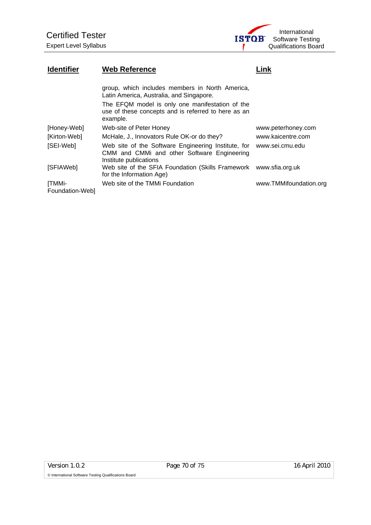

# **Identifier Web Reference Contains Container Contains Contains Contains Contains Contains Contains Contains Conta**

|                           | group, which includes members in North America,<br>Latin America, Australia, and Singapore.                                  |                        |
|---------------------------|------------------------------------------------------------------------------------------------------------------------------|------------------------|
|                           | The EFQM model is only one manifestation of the<br>use of these concepts and is referred to here as an<br>example.           |                        |
| [Honey-Web]               | Web-site of Peter Honey                                                                                                      | www.peterhoney.com     |
| [Kirton-Web]              | McHale, J., Innovators Rule OK-or do they?                                                                                   | www.kaicentre.com      |
| [SEI-Web]                 | Web site of the Software Engineering Institute, for<br>CMM and CMMi and other Software Engineering<br>Institute publications | www.sei.cmu.edu        |
| [SFIAWeb]                 | Web site of the SFIA Foundation (Skills Framework www.sfia.org.uk<br>for the Information Age)                                |                        |
| [TMMi-<br>Foundation-Web] | Web site of the TMMi Foundation                                                                                              | www.TMMifoundation.org |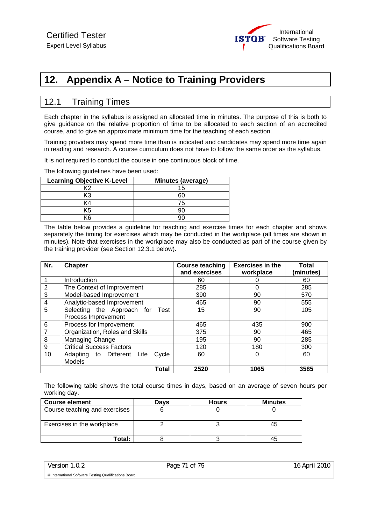

# **12. Appendix A – Notice to Training Providers**

# 12.1 Training Times

Each chapter in the syllabus is assigned an allocated time in minutes. The purpose of this is both to give guidance on the relative proportion of time to be allocated to each section of an accredited course, and to give an approximate minimum time for the teaching of each section.

Training providers may spend more time than is indicated and candidates may spend more time again in reading and research. A course curriculum does not have to follow the same order as the syllabus.

It is not required to conduct the course in one continuous block of time.

The following guidelines have been used:

| <b>Learning Objective K-Level</b> | <b>Minutes (average)</b> |
|-----------------------------------|--------------------------|
| マウ                                | 15                       |
| K3                                | 60                       |
| K4                                | 75                       |
| K5                                |                          |
| (ค                                |                          |

The table below provides a guideline for teaching and exercise times for each chapter and shows separately the timing for exercises which may be conducted in the workplace (all times are shown in minutes). Note that exercises in the workplace may also be conducted as part of the course given by the training provider (see Section 12.3.1 below).

| Nr.            | <b>Chapter</b>                      | <b>Course teaching</b> | <b>Exercises in the</b> | Total     |
|----------------|-------------------------------------|------------------------|-------------------------|-----------|
|                |                                     | and exercises          | workplace               | (minutes) |
|                | Introduction                        | 60                     |                         | 60        |
| $\overline{2}$ | The Context of Improvement          | 285                    | 0                       | 285       |
| 3              | Model-based Improvement             | 390                    | 90                      | 570       |
| 4              | Analytic-based Improvement          | 465                    | 90                      | 555       |
| 5              | Selecting the Approach for<br>Test  | 15                     | 90                      | 105       |
|                | Process Improvement                 |                        |                         |           |
| 6              | Process for Improvement             | 465                    | 435                     | 900       |
|                | Organization, Roles and Skills      | 375                    | 90                      | 465       |
| 8              | Managing Change                     | 195                    | 90                      | 285       |
| 9              | <b>Critical Success Factors</b>     | 120                    | 180                     | 300       |
| 10             | Adapting to Different Life<br>Cycle | 60                     | 0                       | 60        |
|                | <b>Models</b>                       |                        |                         |           |
|                | Total                               | 2520                   | 1065                    | 3585      |

The following table shows the total course times in days, based on an average of seven hours per working day.

| <b>Course element</b>         | Davs | <b>Hours</b> | <b>Minutes</b> |
|-------------------------------|------|--------------|----------------|
| Course teaching and exercises |      |              |                |
| Exercises in the workplace    |      |              | 45             |
| Total:                        |      |              |                |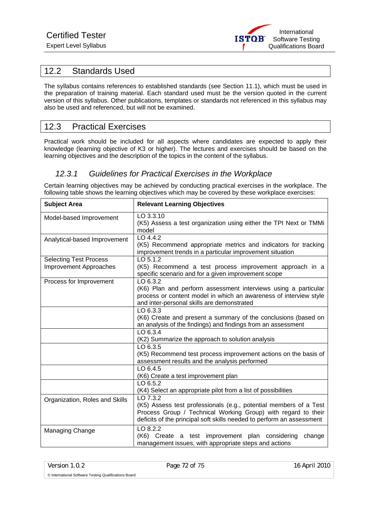

# 12.2 Standards Used

The syllabus contains references to established standards (see Section 11.1), which must be used in the preparation of training material. Each standard used must be the version quoted in the current version of this syllabus. Other publications, templates or standards not referenced in this syllabus may also be used and referenced, but will not be examined.

# 12.3 Practical Exercises

Practical work should be included for all aspects where candidates are expected to apply their knowledge (learning objective of K3 or higher). The lectures and exercises should be based on the learning objectives and the description of the topics in the content of the syllabus.

# *12.3.1 Guidelines for Practical Exercises in the Workplace*

Certain learning objectives may be achieved by conducting practical exercises in the workplace. The following table shows the learning objectives which may be covered by these workplace exercises:

| <b>Subject Area</b>            | <b>Relevant Learning Objectives</b>                                                                                                                                                                                     |  |  |
|--------------------------------|-------------------------------------------------------------------------------------------------------------------------------------------------------------------------------------------------------------------------|--|--|
| Model-based Improvement        | LO 3.3.10<br>(K5) Assess a test organization using either the TPI Next or TMMi<br>model                                                                                                                                 |  |  |
| Analytical-based Improvement   | $LO$ 4.4.2<br>(K5) Recommend appropriate metrics and indicators for tracking<br>improvement trends in a particular improvement situation                                                                                |  |  |
| <b>Selecting Test Process</b>  | LO 5.1.2                                                                                                                                                                                                                |  |  |
| <b>Improvement Approaches</b>  | (K5) Recommend a test process improvement approach in a<br>specific scenario and for a given improvement scope                                                                                                          |  |  |
| Process for Improvement        | LO 6.3.2<br>(K6) Plan and perform assessment interviews using a particular<br>process or content model in which an awareness of interview style<br>and inter-personal skills are demonstrated                           |  |  |
|                                | $LO$ 6.3.3<br>(K6) Create and present a summary of the conclusions (based on<br>an analysis of the findings) and findings from an assessment                                                                            |  |  |
|                                | LO 6.3.4<br>(K2) Summarize the approach to solution analysis                                                                                                                                                            |  |  |
|                                | LO 6.3.5<br>(K5) Recommend test process improvement actions on the basis of<br>assessment results and the analysis performed                                                                                            |  |  |
|                                | LO 6.4.5<br>(K6) Create a test improvement plan                                                                                                                                                                         |  |  |
|                                | LO 6.5.2<br>(K4) Select an appropriate pilot from a list of possibilities                                                                                                                                               |  |  |
| Organization, Roles and Skills | LO 7.3.2<br>(K5) Assess test professionals (e.g., potential members of a Test<br>Process Group / Technical Working Group) with regard to their<br>deficits of the principal soft skills needed to perform an assessment |  |  |
| Managing Change                | LO 8.2.2<br>(K6) Create a test improvement plan considering<br>change<br>management issues, with appropriate steps and actions                                                                                          |  |  |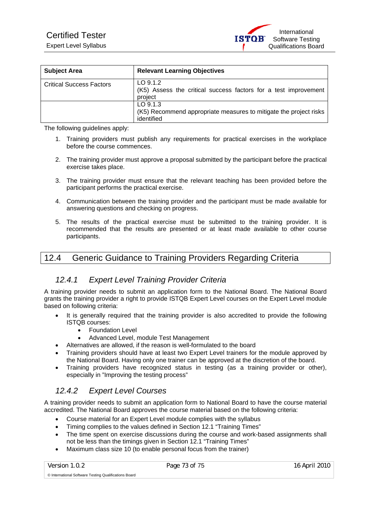| <b>Expert Level Syllabus</b> |  |
|------------------------------|--|
|------------------------------|--|

| <b>Subject Area</b>             | <b>Relevant Learning Objectives</b>                                                           |
|---------------------------------|-----------------------------------------------------------------------------------------------|
| <b>Critical Success Factors</b> | $LO$ 9.1.2<br>(K5) Assess the critical success factors for a test improvement<br>project      |
|                                 | $LO$ 9.1.3<br>(K5) Recommend appropriate measures to mitigate the project risks<br>identified |

The following guidelines apply:

- 1. Training providers must publish any requirements for practical exercises in the workplace before the course commences.
- 2. The training provider must approve a proposal submitted by the participant before the practical exercise takes place.
- 3. The training provider must ensure that the relevant teaching has been provided before the participant performs the practical exercise.
- 4. Communication between the training provider and the participant must be made available for answering questions and checking on progress.
- 5. The results of the practical exercise must be submitted to the training provider. It is recommended that the results are presented or at least made available to other course participants.

## 12.4 Generic Guidance to Training Providers Regarding Criteria

#### *12.4.1 Expert Level Training Provider Criteria*

A training provider needs to submit an application form to the National Board. The National Board grants the training provider a right to provide ISTQB Expert Level courses on the Expert Level module based on following criteria:

- It is generally required that the training provider is also accredited to provide the following ISTQB courses:
	- Foundation Level
	- Advanced Level, module Test Management
- Alternatives are allowed, if the reason is well-formulated to the board
- Training providers should have at least two Expert Level trainers for the module approved by the National Board. Having only one trainer can be approved at the discretion of the board.
- Training providers have recognized status in testing (as a training provider or other), especially in "Improving the testing process"

### *12.4.2 Expert Level Courses*

A training provider needs to submit an application form to National Board to have the course material accredited. The National Board approves the course material based on the following criteria:

- Course material for an Expert Level module complies with the syllabus
- Timing complies to the values defined in Section 12.1 "Training Times"
- The time spent on exercise discussions during the course and work-based assignments shall not be less than the timings given in Section 12.1 "Training Times"
- Maximum class size 10 (to enable personal focus from the trainer)

© International Software Testing Qualifications Board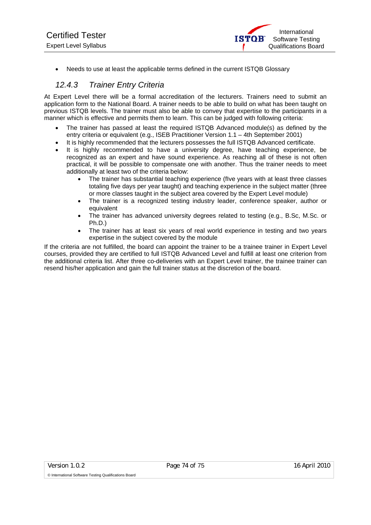• Needs to use at least the applicable terms defined in the current ISTQB Glossary

### *12.4.3 Trainer Entry Criteria*

At Expert Level there will be a formal accreditation of the lecturers. Trainers need to submit an application form to the National Board. A trainer needs to be able to build on what has been taught on previous ISTQB levels. The trainer must also be able to convey that expertise to the participants in a manner which is effective and permits them to learn. This can be judged with following criteria:

- The trainer has passed at least the required ISTQB Advanced module(s) as defined by the entry criteria or equivalent (e.g., ISEB Practitioner Version 1.1 – 4th September 2001)
- It is highly recommended that the lecturers possesses the full ISTQB Advanced certificate.
- It is highly recommended to have a university degree, have teaching experience, be recognized as an expert and have sound experience. As reaching all of these is not often practical, it will be possible to compensate one with another. Thus the trainer needs to meet additionally at least two of the criteria below:
	- The trainer has substantial teaching experience (flve years with at least three classes totaling five days per year taught) and teaching experience in the subject matter (three or more classes taught in the subject area covered by the Expert Level module)
	- The trainer is a recognized testing industry leader, conference speaker, author or equivalent
	- The trainer has advanced university degrees related to testing (e.g., B.Sc, M.Sc. or Ph.D.)
	- The trainer has at least six years of real world experience in testing and two years expertise in the subject covered by the module

If the criteria are not fulfilled, the board can appoint the trainer to be a trainee trainer in Expert Level courses, provided they are certified to full ISTQB Advanced Level and fulfill at least one criterion from the additional criteria list. After three co-deliveries with an Expert Level trainer, the trainee trainer can resend his/her application and gain the full trainer status at the discretion of the board.